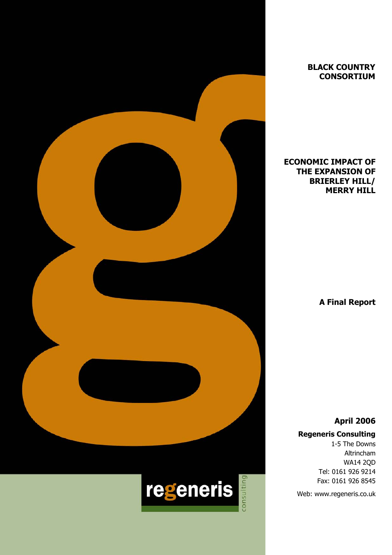

**BLACK COUNTRY CONSORTIUM** 

## **ECONOMIC IMPACT OF THE EXPANSION OF BRIERLEY HILL/ MERRY HILL**

 **A Final Report** 

**April 2006** 

## **Regeneris Consulting**

1-5 The Downs Altrincham WA14 2QD Tel: 0161 926 9214 Fax: 0161 926 8545

Web: www.regeneris.co.uk

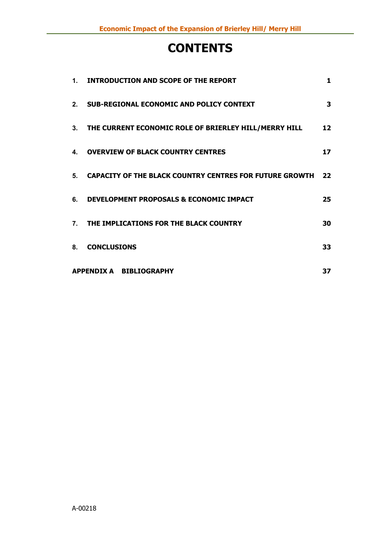# **CONTENTS**

| 1.             | <b>INTRODUCTION AND SCOPE OF THE REPORT</b>                    | 1               |
|----------------|----------------------------------------------------------------|-----------------|
|                | 2. SUB-REGIONAL ECONOMIC AND POLICY CONTEXT                    | 3               |
| 3 <sub>1</sub> | THE CURRENT ECONOMIC ROLE OF BRIERLEY HILL/MERRY HILL          | 12 <sub>1</sub> |
| 4.             | <b>OVERVIEW OF BLACK COUNTRY CENTRES</b>                       | 17              |
| 5.             | <b>CAPACITY OF THE BLACK COUNTRY CENTRES FOR FUTURE GROWTH</b> | 22              |
| 6.             | DEVELOPMENT PROPOSALS & ECONOMIC IMPACT                        | 25              |
| 7.             | THE IMPLICATIONS FOR THE BLACK COUNTRY                         | 30              |
| 8.             | <b>CONCLUSIONS</b>                                             | 33              |
|                | APPENDIX A BIBLIOGRAPHY                                        | 37              |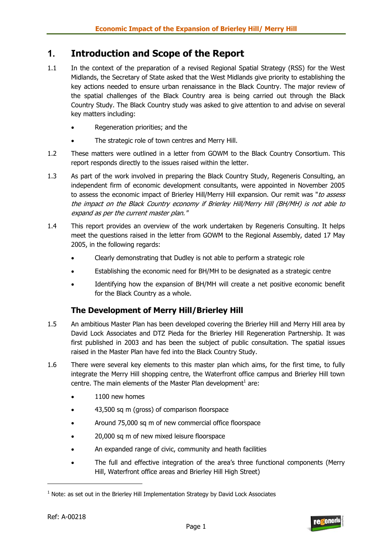# **1. Introduction and Scope of the Report**

- 1.1 In the context of the preparation of a revised Regional Spatial Strategy (RSS) for the West Midlands, the Secretary of State asked that the West Midlands give priority to establishing the key actions needed to ensure urban renaissance in the Black Country. The major review of the spatial challenges of the Black Country area is being carried out through the Black Country Study. The Black Country study was asked to give attention to and advise on several key matters including:
	- Regeneration priorities; and the
	- The strategic role of town centres and Merry Hill.
- 1.2 These matters were outlined in a letter from GOWM to the Black Country Consortium. This report responds directly to the issues raised within the letter.
- 1.3 As part of the work involved in preparing the Black Country Study, Regeneris Consulting, an independent firm of economic development consultants, were appointed in November 2005 to assess the economic impact of Brierley Hill/Merry Hill expansion. Our remit was "to assess the impact on the Black Country economy if Brierley Hill/Merry Hill (BH/MH) is not able to expand as per the current master plan."
- 1.4 This report provides an overview of the work undertaken by Regeneris Consulting. It helps meet the questions raised in the letter from GOWM to the Regional Assembly, dated 17 May 2005, in the following regards:
	- Clearly demonstrating that Dudley is not able to perform a strategic role
	- Establishing the economic need for BH/MH to be designated as a strategic centre
	- Identifying how the expansion of BH/MH will create a net positive economic benefit for the Black Country as a whole.

## **The Development of Merry Hill/Brierley Hill**

- 1.5 An ambitious Master Plan has been developed covering the Brierley Hill and Merry Hill area by David Lock Associates and DTZ Pieda for the Brierley Hill Regeneration Partnership. It was first published in 2003 and has been the subject of public consultation. The spatial issues raised in the Master Plan have fed into the Black Country Study.
- 1.6 There were several key elements to this master plan which aims, for the first time, to fully integrate the Merry Hill shopping centre, the Waterfront office campus and Brierley Hill town centre. The main elements of the Master Plan development<sup>1</sup> are:
	- 1100 new homes
	- 43,500 sq m (gross) of comparison floorspace
	- Around 75,000 sq m of new commercial office floorspace
	- 20,000 sq m of new mixed leisure floorspace
	- An expanded range of civic, community and heath facilities
	- The full and effective integration of the area's three functional components (Merry Hill, Waterfront office areas and Brierley Hill High Street)



 $<sup>1</sup>$  Note: as set out in the Brierley Hill Implementation Strategy by David Lock Associates</sup>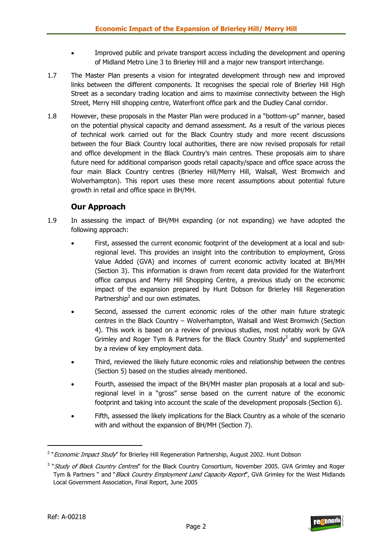- Improved public and private transport access including the development and opening of Midland Metro Line 3 to Brierley Hill and a major new transport interchange.
- 1.7 The Master Plan presents a vision for integrated development through new and improved links between the different components. It recognises the special role of Brierley Hill High Street as a secondary trading location and aims to maximise connectivity between the High Street, Merry Hill shopping centre, Waterfront office park and the Dudley Canal corridor.
- 1.8 However, these proposals in the Master Plan were produced in a "bottom-up" manner, based on the potential physical capacity and demand assessment. As a result of the various pieces of technical work carried out for the Black Country study and more recent discussions between the four Black Country local authorities, there are now revised proposals for retail and office development in the Black Country's main centres. These proposals aim to share future need for additional comparison goods retail capacity/space and office space across the four main Black Country centres (Brierley Hill/Merry Hill, Walsall, West Bromwich and Wolverhampton). This report uses these more recent assumptions about potential future growth in retail and office space in BH/MH.

## **Our Approach**

- 1.9 In assessing the impact of BH/MH expanding (or not expanding) we have adopted the following approach:
	- First, assessed the current economic footprint of the development at a local and subregional level. This provides an insight into the contribution to employment, Gross Value Added (GVA) and incomes of current economic activity located at BH/MH (Section 3). This information is drawn from recent data provided for the Waterfront office campus and Merry Hill Shopping Centre, a previous study on the economic impact of the expansion prepared by Hunt Dobson for Brierley Hill Regeneration Partnership<sup>2</sup> and our own estimates.
	- Second, assessed the current economic roles of the other main future strategic centres in the Black Country – Wolverhampton, Walsall and West Bromwich (Section 4). This work is based on a review of previous studies, most notably work by GVA Grimley and Roger Tym & Partners for the Black Country Study<sup>3</sup> and supplemented by a review of key employment data.
	- Third, reviewed the likely future economic roles and relationship between the centres (Section 5) based on the studies already mentioned.
	- Fourth, assessed the impact of the BH/MH master plan proposals at a local and subregional level in a "gross" sense based on the current nature of the economic footprint and taking into account the scale of the development proposals (Section 6).
	- Fifth, assessed the likely implications for the Black Country as a whole of the scenario with and without the expansion of BH/MH (Section 7).



<sup>&</sup>lt;sup>2</sup> "*Economic Impact Study*" for Brierley Hill Regeneration Partnership, August 2002. Hunt Dobson

<sup>&</sup>lt;sup>3</sup> "Study of Black Country Centres" for the Black Country Consortium, November 2005. GVA Grimley and Roger Tym & Partners " and "*Black Country Employment Land Capacity Report"*, GVA Grimley for the West Midlands Local Government Association, Final Report, June 2005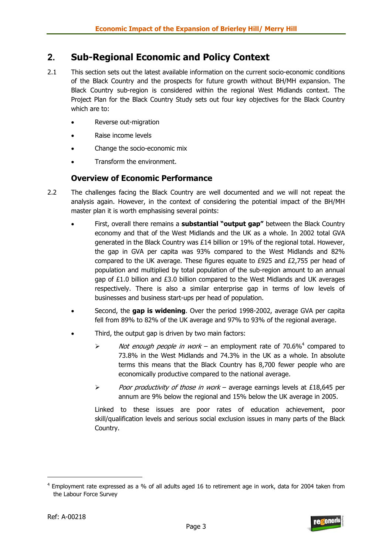# **2. Sub-Regional Economic and Policy Context**

- 2.1 This section sets out the latest available information on the current socio-economic conditions of the Black Country and the prospects for future growth without BH/MH expansion. The Black Country sub-region is considered within the regional West Midlands context. The Project Plan for the Black Country Study sets out four key objectives for the Black Country which are to:
	- Reverse out-migration
	- Raise income levels
	- Change the socio-economic mix
	- Transform the environment.

### **Overview of Economic Performance**

- 2.2 The challenges facing the Black Country are well documented and we will not repeat the analysis again. However, in the context of considering the potential impact of the BH/MH master plan it is worth emphasising several points:
	- First, overall there remains a **substantial "output gap"** between the Black Country economy and that of the West Midlands and the UK as a whole. In 2002 total GVA generated in the Black Country was £14 billion or 19% of the regional total. However, the gap in GVA per capita was 93% compared to the West Midlands and 82% compared to the UK average. These figures equate to £925 and  $£2,755$  per head of population and multiplied by total population of the sub-region amount to an annual gap of £1.0 billion and £3.0 billion compared to the West Midlands and UK averages respectively. There is also a similar enterprise gap in terms of low levels of businesses and business start-ups per head of population.
	- Second, the **gap is widening**. Over the period 1998-2002, average GVA per capita fell from 89% to 82% of the UK average and 97% to 93% of the regional average.
	- Third, the output gap is driven by two main factors:
		- $\triangleright$  Not enough people in work an employment rate of 70.6%<sup>4</sup> compared to 73.8% in the West Midlands and 74.3% in the UK as a whole. In absolute terms this means that the Black Country has 8,700 fewer people who are economically productive compared to the national average.
		- $\triangleright$  Poor productivity of those in work average earnings levels at £18,645 per annum are 9% below the regional and 15% below the UK average in 2005.

Linked to these issues are poor rates of education achievement, poor skill/qualification levels and serious social exclusion issues in many parts of the Black Country.



<sup>&</sup>lt;sup>4</sup> Employment rate expressed as a % of all adults aged 16 to retirement age in work, data for 2004 taken from the Labour Force Survey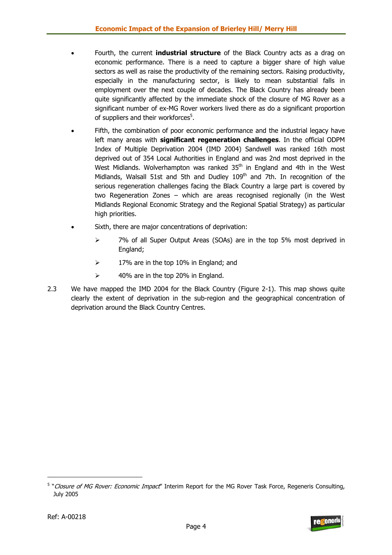- Fourth, the current **industrial structure** of the Black Country acts as a drag on economic performance. There is a need to capture a bigger share of high value sectors as well as raise the productivity of the remaining sectors. Raising productivity, especially in the manufacturing sector, is likely to mean substantial falls in employment over the next couple of decades. The Black Country has already been quite significantly affected by the immediate shock of the closure of MG Rover as a significant number of ex-MG Rover workers lived there as do a significant proportion of suppliers and their workforces<sup>5</sup>.
- Fifth, the combination of poor economic performance and the industrial legacy have left many areas with **significant regeneration challenges**. In the official ODPM Index of Multiple Deprivation 2004 (IMD 2004) Sandwell was ranked 16th most deprived out of 354 Local Authorities in England and was 2nd most deprived in the West Midlands. Wolverhampton was ranked  $35<sup>th</sup>$  in England and 4th in the West Midlands, Walsall 51st and 5th and Dudley  $109<sup>th</sup>$  and 7th. In recognition of the serious regeneration challenges facing the Black Country a large part is covered by two Regeneration Zones – which are areas recognised regionally (in the West Midlands Regional Economic Strategy and the Regional Spatial Strategy) as particular high priorities.
- Sixth, there are major concentrations of deprivation:
	- ¾ 7% of all Super Output Areas (SOAs) are in the top 5% most deprived in England;
	- $\geq$  17% are in the top 10% in England; and
	- $\geq$  40% are in the top 20% in England.
- 2.3 We have mapped the IMD 2004 for the Black Country (Figure 2-1). This map shows quite clearly the extent of deprivation in the sub-region and the geographical concentration of deprivation around the Black Country Centres.



<sup>&</sup>lt;sup>5</sup> "Closure of MG Rover: Economic Impact" Interim Report for the MG Rover Task Force, Regeneris Consulting, July 2005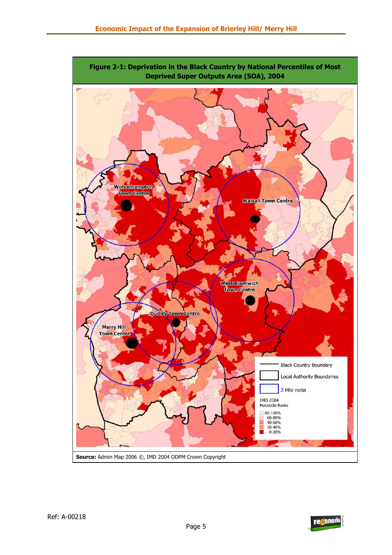

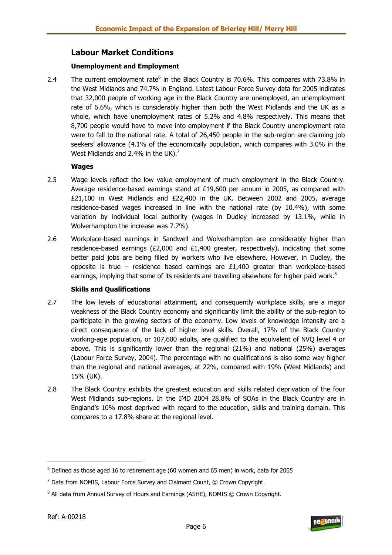## **Labour Market Conditions**

#### **Unemployment and Employment**

2.4 The current employment rate<sup>6</sup> in the Black Country is 70.6%. This compares with 73.8% in the West Midlands and 74.7% in England. Latest Labour Force Survey data for 2005 indicates that 32,000 people of working age in the Black Country are unemployed, an unemployment rate of 6.6%, which is considerably higher than both the West Midlands and the UK as a whole, which have unemployment rates of 5.2% and 4.8% respectively. This means that 8,700 people would have to move into employment if the Black Country unemployment rate were to fall to the national rate. A total of 26,450 people in the sub-region are claiming job seekers' allowance (4.1% of the economically population, which compares with 3.0% in the West Midlands and 2.4% in the UK). $^7$ 

#### **Wages**

- 2.5 Wage levels reflect the low value employment of much employment in the Black Country. Average residence-based earnings stand at  $£19,600$  per annum in 2005, as compared with £21,100 in West Midlands and £22,400 in the UK. Between 2002 and 2005, average residence-based wages increased in line with the national rate (by 10.4%), with some variation by individual local authority (wages in Dudley increased by 13.1%, while in Wolverhampton the increase was 7.7%).
- 2.6 Workplace-based earnings in Sandwell and Wolverhampton are considerably higher than residence-based earnings (£2,000 and £1,400 greater, respectively), indicating that some better paid jobs are being filled by workers who live elsewhere. However, in Dudley, the opposite is true – residence based earnings are  $£1,400$  greater than workplace-based earnings, implying that some of its residents are travelling elsewhere for higher paid work.<sup>8</sup>

#### **Skills and Qualifications**

- 2.7 The low levels of educational attainment, and consequently workplace skills, are a major weakness of the Black Country economy and significantly limit the ability of the sub-region to participate in the growing sectors of the economy. Low levels of knowledge intensity are a direct consequence of the lack of higher level skills. Overall, 17% of the Black Country working-age population, or 107,600 adults, are qualified to the equivalent of NVQ level 4 or above. This is significantly lower than the regional (21%) and national (25%) averages (Labour Force Survey, 2004). The percentage with no qualifications is also some way higher than the regional and national averages, at 22%, compared with 19% (West Midlands) and 15% (UK).
- 2.8 The Black Country exhibits the greatest education and skills related deprivation of the four West Midlands sub-regions. In the IMD 2004 28.8% of SOAs in the Black Country are in England's 10% most deprived with regard to the education, skills and training domain. This compares to a 17.8% share at the regional level.



 $^6$  Defined as those aged 16 to retirement age (60 women and 65 men) in work, data for 2005

 $^7$  Data from NOMIS, Labour Force Survey and Claimant Count,  $\odot$  Crown Copyright.

 $^8$  All data from Annual Survey of Hours and Earnings (ASHE), NOMIS  $\odot$  Crown Copyright.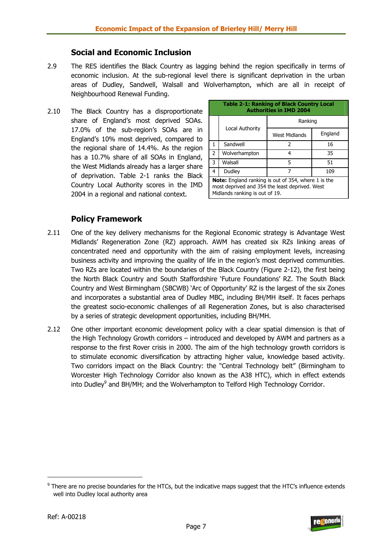### **Social and Economic Inclusion**

- 2.9 The RES identifies the Black Country as lagging behind the region specifically in terms of economic inclusion. At the sub-regional level there is significant deprivation in the urban areas of Dudley, Sandwell, Walsall and Wolverhampton, which are all in receipt of Neighbourhood Renewal Funding.
- 2.10 The Black Country has a disproportionate share of England's most deprived SOAs. 17.0% of the sub-region's SOAs are in England's 10% most deprived, compared to the regional share of 14.4%. As the region has a 10.7% share of all SOAs in England, the West Midlands already has a larger share of deprivation. Table 2-1 ranks the Black Country Local Authority scores in the IMD 2004 in a regional and national context.

| <b>Table 2-1: Ranking of Black Country Local</b><br><b>Authorities in IMD 2004</b> |                                                                                                                                         |               |         |  |  |  |
|------------------------------------------------------------------------------------|-----------------------------------------------------------------------------------------------------------------------------------------|---------------|---------|--|--|--|
|                                                                                    |                                                                                                                                         | Ranking       |         |  |  |  |
|                                                                                    | Local Authority                                                                                                                         | West Midlands | England |  |  |  |
| 1                                                                                  | Sandwell                                                                                                                                | 2             | 16      |  |  |  |
| 2                                                                                  | Wolverhampton                                                                                                                           | 35<br>4       |         |  |  |  |
| 3                                                                                  | Walsall                                                                                                                                 | 5             | 51      |  |  |  |
| 4                                                                                  | Dudley                                                                                                                                  |               | 109     |  |  |  |
|                                                                                    | Note: England ranking is out of 354, where 1 is the<br>most deprived and 354 the least deprived. West<br>Midlands ranking is out of 19. |               |         |  |  |  |

## **Policy Framework**

- 2.11 One of the key delivery mechanisms for the Regional Economic strategy is Advantage West Midlands' Regeneration Zone (RZ) approach. AWM has created six RZs linking areas of concentrated need and opportunity with the aim of raising employment levels, increasing business activity and improving the quality of life in the region's most deprived communities. Two RZs are located within the boundaries of the Black Country (Figure 2-12), the first being the North Black Country and South Staffordshire 'Future Foundations' RZ. The South Black Country and West Birmingham (SBCWB) 'Arc of Opportunity' RZ is the largest of the six Zones and incorporates a substantial area of Dudley MBC, including BH/MH itself. It faces perhaps the greatest socio-economic challenges of all Regeneration Zones, but is also characterised by a series of strategic development opportunities, including BH/MH.
- 2.12 One other important economic development policy with a clear spatial dimension is that of the High Technology Growth corridors – introduced and developed by AWM and partners as a response to the first Rover crisis in 2000. The aim of the high technology growth corridors is to stimulate economic diversification by attracting higher value, knowledge based activity. Two corridors impact on the Black Country: the "Central Technology belt" (Birmingham to Worcester High Technology Corridor also known as the A38 HTC), which in effect extends into Dudley<sup>9</sup> and BH/MH; and the Wolverhampton to Telford High Technology Corridor.

 $9$  There are no precise boundaries for the HTCs, but the indicative maps suggest that the HTC's influence extends well into Dudley local authority area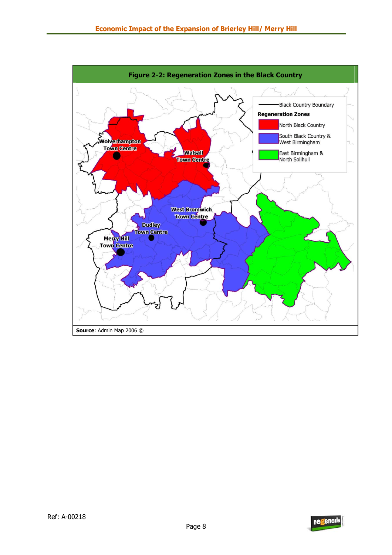

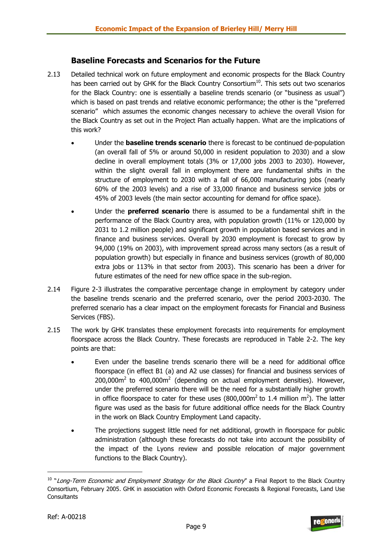## **Baseline Forecasts and Scenarios for the Future**

- 2.13 Detailed technical work on future employment and economic prospects for the Black Country has been carried out by GHK for the Black Country Consortium $^{10}$ . This sets out two scenarios for the Black Country: one is essentially a baseline trends scenario (or "business as usual") which is based on past trends and relative economic performance; the other is the "preferred scenario" which assumes the economic changes necessary to achieve the overall Vision for the Black Country as set out in the Project Plan actually happen. What are the implications of this work?
	- Under the **baseline trends scenario** there is forecast to be continued de-population (an overall fall of 5% or around 50,000 in resident population to 2030) and a slow decline in overall employment totals (3% or 17,000 jobs 2003 to 2030). However, within the slight overall fall in employment there are fundamental shifts in the structure of employment to 2030 with a fall of 66,000 manufacturing jobs (nearly 60% of the 2003 levels) and a rise of 33,000 finance and business service jobs or 45% of 2003 levels (the main sector accounting for demand for office space).
	- Under the **preferred scenario** there is assumed to be a fundamental shift in the performance of the Black Country area, with population growth (11% or 120,000 by 2031 to 1.2 million people) and significant growth in population based services and in finance and business services. Overall by 2030 employment is forecast to grow by 94,000 (19% on 2003), with improvement spread across many sectors (as a result of population growth) but especially in finance and business services (growth of 80,000 extra jobs or 113% in that sector from 2003). This scenario has been a driver for future estimates of the need for new office space in the sub-region.
- 2.14 Figure 2-3 illustrates the comparative percentage change in employment by category under the baseline trends scenario and the preferred scenario, over the period 2003-2030. The preferred scenario has a clear impact on the employment forecasts for Financial and Business Services (FBS).
- 2.15 The work by GHK translates these employment forecasts into requirements for employment floorspace across the Black Country. These forecasts are reproduced in Table 2-2. The key points are that:
	- Even under the baseline trends scenario there will be a need for additional office floorspace (in effect B1 (a) and A2 use classes) for financial and business services of 200,000 $\text{m}^2$  to 400,000 $\text{m}^2$  (depending on actual employment densities). However, under the preferred scenario there will be the need for a substantially higher growth in office floorspace to cater for these uses  $(800,000\text{m}^2 \text{ to } 1.4 \text{ million m}^2)$ . The latter figure was used as the basis for future additional office needs for the Black Country in the work on Black Country Employment Land capacity.
	- The projections suggest little need for net additional, growth in floorspace for public administration (although these forecasts do not take into account the possibility of the impact of the Lyons review and possible relocation of major government functions to the Black Country).



<sup>&</sup>lt;sup>10</sup> "Long-Term Economic and Employment Strategy for the Black Country" a Final Report to the Black Country Consortium, February 2005. GHK in association with Oxford Economic Forecasts & Regional Forecasts, Land Use **Consultants**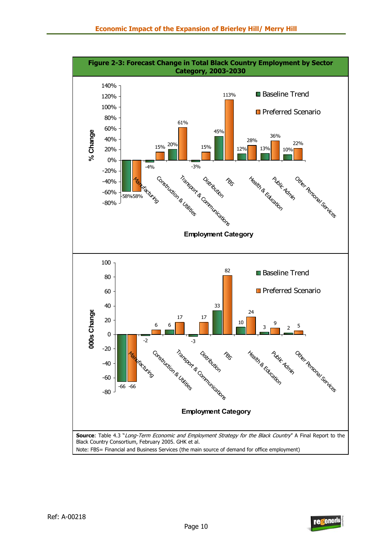

Note: FBS= Financial and Business Services (the main source of demand for office employment)

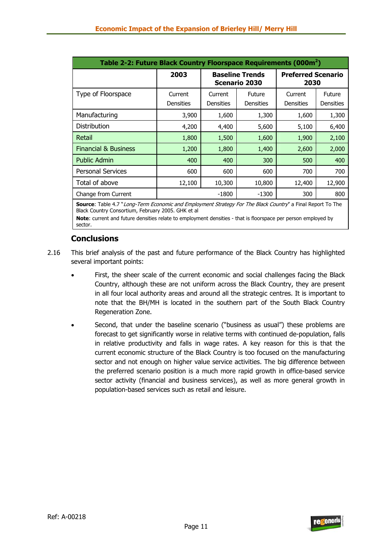| Table 2-2: Future Black Country Floorspace Requirements (000m <sup>2</sup> ) |                                                                                             |                             |                            |        |                                   |  |  |
|------------------------------------------------------------------------------|---------------------------------------------------------------------------------------------|-----------------------------|----------------------------|--------|-----------------------------------|--|--|
|                                                                              | 2003<br><b>Baseline Trends</b><br><b>Preferred Scenario</b><br><b>Scenario 2030</b><br>2030 |                             |                            |        |                                   |  |  |
| Type of Floorspace                                                           | Current<br><b>Densities</b>                                                                 | Current<br><b>Densities</b> | Future<br><b>Densities</b> |        | <b>Future</b><br><b>Densities</b> |  |  |
| Manufacturing                                                                | 3,900                                                                                       | 1,600                       | 1,300                      | 1,600  | 1,300                             |  |  |
| <b>Distribution</b>                                                          | 4,200                                                                                       | 4,400                       | 5,600                      | 5,100  | 6,400                             |  |  |
| Retail                                                                       | 1,800                                                                                       | 1,500                       | 1,600                      | 1,900  | 2,100                             |  |  |
| <b>Financial &amp; Business</b>                                              | 1,200                                                                                       | 1,800                       | 1,400                      | 2,600  | 2,000                             |  |  |
| <b>Public Admin</b>                                                          | 400                                                                                         | 400                         | 300                        | 500    | 400                               |  |  |
| <b>Personal Services</b>                                                     | 600                                                                                         | 600                         | 600                        | 700    | 700                               |  |  |
| Total of above                                                               | 12,100                                                                                      | 10,300                      | 10,800                     | 12,400 | 12,900                            |  |  |
| Change from Current                                                          |                                                                                             | $-1800$                     | $-1300$                    | 300    | 800                               |  |  |

**Source**: Table 4.7 "Long-Term Economic and Employment Strategy For The Black Country" a Final Report To The Black Country Consortium, February 2005. GHK et al

**Note**: current and future densities relate to employment densities - that is floorspace per person employed by sector.

## **Conclusions**

- 2.16 This brief analysis of the past and future performance of the Black Country has highlighted several important points:
	- First, the sheer scale of the current economic and social challenges facing the Black Country, although these are not uniform across the Black Country, they are present in all four local authority areas and around all the strategic centres. It is important to note that the BH/MH is located in the southern part of the South Black Country Regeneration Zone.
	- Second, that under the baseline scenario ("business as usual") these problems are forecast to get significantly worse in relative terms with continued de-population, falls in relative productivity and falls in wage rates. A key reason for this is that the current economic structure of the Black Country is too focused on the manufacturing sector and not enough on higher value service activities. The big difference between the preferred scenario position is a much more rapid growth in office-based service sector activity (financial and business services), as well as more general growth in population-based services such as retail and leisure.

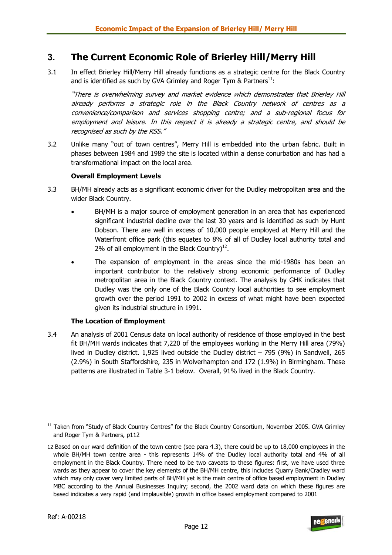# **3. The Current Economic Role of Brierley Hill/Merry Hill**

3.1 In effect Brierley Hill/Merry Hill already functions as a strategic centre for the Black Country and is identified as such by GVA Grimley and Roger Tym & Partners $^{11}$ :

"There is overwhelming survey and market evidence which demonstrates that Brierley Hill already performs a strategic role in the Black Country network of centres as a convenience/comparison and services shopping centre; and a sub-regional focus for employment and leisure. In this respect it is already a strategic centre, and should be recognised as such by the RSS."

3.2 Unlike many "out of town centres", Merry Hill is embedded into the urban fabric. Built in phases between 1984 and 1989 the site is located within a dense conurbation and has had a transformational impact on the local area.

#### **Overall Employment Levels**

- 3.3 BH/MH already acts as a significant economic driver for the Dudley metropolitan area and the wider Black Country.
	- BH/MH is a major source of employment generation in an area that has experienced significant industrial decline over the last 30 years and is identified as such by Hunt Dobson. There are well in excess of 10,000 people employed at Merry Hill and the Waterfront office park (this equates to 8% of all of Dudley local authority total and 2% of all employment in the Black Country) $^{12}$ .
	- The expansion of employment in the areas since the mid-1980s has been an important contributor to the relatively strong economic performance of Dudley metropolitan area in the Black Country context. The analysis by GHK indicates that Dudley was the only one of the Black Country local authorities to see employment growth over the period 1991 to 2002 in excess of what might have been expected given its industrial structure in 1991.

#### **The Location of Employment**

3.4 An analysis of 2001 Census data on local authority of residence of those employed in the best fit BH/MH wards indicates that 7,220 of the employees working in the Merry Hill area (79%) lived in Dudley district. 1,925 lived outside the Dudley district – 795 (9%) in Sandwell, 265 (2.9%) in South Staffordshire, 235 in Wolverhampton and 172 (1.9%) in Birmingham. These patterns are illustrated in Table 3-1 below. Overall, 91% lived in the Black Country.

<sup>12</sup> Based on our ward definition of the town centre (see para 4.3), there could be up to 18,000 employees in the whole BH/MH town centre area - this represents 14% of the Dudley local authority total and 4% of all employment in the Black Country. There need to be two caveats to these figures: first, we have used three wards as they appear to cover the key elements of the BH/MH centre, this includes Quarry Bank/Cradley ward which may only cover very limited parts of BH/MH yet is the main centre of office based employment in Dudley MBC according to the Annual Businesses Inquiry; second, the 2002 ward data on which these figures are based indicates a very rapid (and implausible) growth in office based employment compared to 2001



<sup>&</sup>lt;sup>11</sup> Taken from "Study of Black Country Centres" for the Black Country Consortium, November 2005. GVA Grimley and Roger Tym & Partners, p112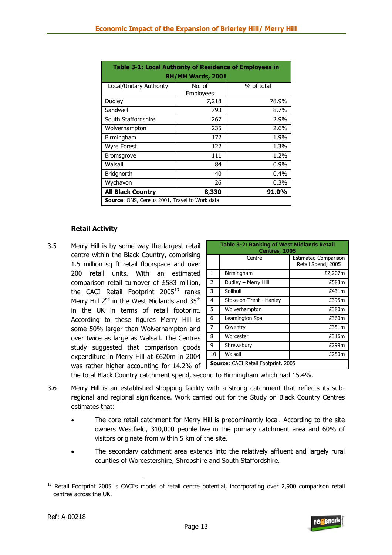| Table 3-1: Local Authority of Residence of Employees in<br><b>BH/MH Wards, 2001</b> |                     |            |  |  |  |
|-------------------------------------------------------------------------------------|---------------------|------------|--|--|--|
| Local/Unitary Authority                                                             | No. of<br>Employees | % of total |  |  |  |
| Dudley                                                                              | 7,218               | 78.9%      |  |  |  |
| Sandwell                                                                            | 793                 | 8.7%       |  |  |  |
| South Staffordshire                                                                 | 267                 | 2.9%       |  |  |  |
| Wolverhampton                                                                       | 235                 | 2.6%       |  |  |  |
| Birmingham                                                                          | 172                 | 1.9%       |  |  |  |
| Wyre Forest                                                                         | 122                 | 1.3%       |  |  |  |
| <b>Bromsgrove</b>                                                                   | 111                 | 1.2%       |  |  |  |
| Walsall                                                                             | 84                  | $0.9\%$    |  |  |  |
| Bridgnorth                                                                          | 40                  | 0.4%       |  |  |  |
| Wychavon                                                                            | 26                  | $0.3\%$    |  |  |  |
| <b>All Black Country</b><br>91.0%<br>8,330                                          |                     |            |  |  |  |
| <b>Source:</b> ONS, Census 2001, Travel to Work data                                |                     |            |  |  |  |

#### **Retail Activity**

3.5 Merry Hill is by some way the largest retail centre within the Black Country, comprising 1.5 million sq ft retail floorspace and over 200 retail units. With an estimated comparison retail turnover of £583 million, the CACI Retail Footprint  $2005^{13}$  ranks Merry Hill 2<sup>nd</sup> in the West Midlands and 35<sup>th</sup> in the UK in terms of retail footprint. According to these figures Merry Hill is some 50% larger than Wolverhampton and over twice as large as Walsall. The Centres study suggested that comparison goods expenditure in Merry Hill at £620m in 2004 was rather higher accounting for 14.2% of

|                | <b>Table 3-2: Ranking of West Midlands Retail</b><br>Centres, 2005 |                                                   |  |  |  |  |  |
|----------------|--------------------------------------------------------------------|---------------------------------------------------|--|--|--|--|--|
|                | Centre                                                             | <b>Estimated Comparison</b><br>Retail Spend, 2005 |  |  |  |  |  |
| $\mathbf{1}$   | Birmingham                                                         | £2,207m                                           |  |  |  |  |  |
| $\overline{2}$ | Dudley - Merry Hill                                                | £583m                                             |  |  |  |  |  |
| 3              | Solihull                                                           | £431m                                             |  |  |  |  |  |
| $\overline{4}$ | Stoke-on-Trent - Hanley                                            | £395m                                             |  |  |  |  |  |
| 5              | Wolverhampton                                                      | £380m                                             |  |  |  |  |  |
| 6              | Leamington Spa                                                     | £360m                                             |  |  |  |  |  |
| $\overline{7}$ | Coventry                                                           | £351m                                             |  |  |  |  |  |
| 8              | Worcester                                                          | £316m                                             |  |  |  |  |  |
| 9              | Shrewsbury                                                         | £299m                                             |  |  |  |  |  |
| 10             | Walsall                                                            | £250m                                             |  |  |  |  |  |
|                | <b>Source:</b> CACI Retail Footprint, 2005                         |                                                   |  |  |  |  |  |

the total Black Country catchment spend, second to Birmingham which had 15.4%.

- 3.6 Merry Hill is an established shopping facility with a strong catchment that reflects its subregional and regional significance. Work carried out for the Study on Black Country Centres estimates that:
	- The core retail catchment for Merry Hill is predominantly local. According to the site owners Westfield, 310,000 people live in the primary catchment area and 60% of visitors originate from within 5 km of the site.
	- The secondary catchment area extends into the relatively affluent and largely rural counties of Worcestershire, Shropshire and South Staffordshire.



<sup>&</sup>lt;sup>13</sup> Retail Footprint 2005 is CACI's model of retail centre potential, incorporating over 2,900 comparison retail centres across the UK.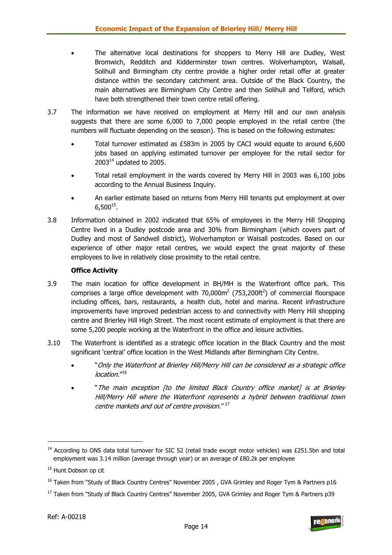- The alternative local destinations for shoppers to Merry Hill are Dudley, West Bromwich, Redditch and Kidderminster town centres. Wolverhampton, Walsall, Solihull and Birmingham city centre provide a higher order retail offer at greater distance within the secondary catchment area. Outside of the Black Country, the main alternatives are Birmingham City Centre and then Solihull and Telford, which have both strengthened their town centre retail offering.
- 3.7 The information we have received on employment at Merry Hill and our own analysis suggests that there are some 6,000 to 7,000 people employed in the retail centre (the numbers will fluctuate depending on the season). This is based on the following estimates:
	- Total turnover estimated as £583m in 2005 by CACI would equate to around 6,600 jobs based on applying estimated turnover per employee for the retail sector for  $2003<sup>14</sup>$  updated to 2005.
	- Total retail employment in the wards covered by Merry Hill in 2003 was 6,100 jobs according to the Annual Business Inquiry.
	- An earlier estimate based on returns from Merry Hill tenants put employment at over  $6.500^{15}$ .
- 3.8 Information obtained in 2002 indicated that 65% of employees in the Merry Hill Shopping Centre lived in a Dudley postcode area and 30% from Birmingham (which covers part of Dudley and most of Sandwell district), Wolverhampton or Walsall postcodes. Based on our experience of other major retail centres, we would expect the great majority of these employees to live in relatively close proximity to the retail centre.

#### **Office Activity**

- 3.9 The main location for office development in BH/MH is the Waterfront office park. This comprises a large office development with 70,000 $m^2$  (753,200ft<sup>2</sup>) of commercial floorspace including offices, bars, restaurants, a health club, hotel and marina. Recent infrastructure improvements have improved pedestrian access to and connectivity with Merry Hill shopping centre and Brierley Hill High Street. The most recent estimate of employment is that there are some 5,200 people working at the Waterfront in the office and leisure activities.
- 3.10 The Waterfront is identified as a strategic office location in the Black Country and the most significant 'central' office location in the West Midlands after Birmingham City Centre.
	- "Only the Waterfront at Brierley Hill/Merry Hill can be considered as a strategic office location."<sup>16</sup>
	- "The main exception [to the limited Black Country office market] is at Brierley Hill/Merry Hill where the Waterfront represents a hybrid between traditional town centre markets and out of centre provision." 17



 $14$  According to ONS data total turnover for SIC 52 (retail trade except motor vehicles) was £251.5bn and total employment was 3.14 million (average through year) or an average of £80.2k per employee

<sup>&</sup>lt;sup>15</sup> Hunt Dobson op cit

<sup>&</sup>lt;sup>16</sup> Taken from "Study of Black Country Centres" November 2005, GVA Grimley and Roger Tym & Partners p16

<sup>&</sup>lt;sup>17</sup> Taken from "Study of Black Country Centres" November 2005, GVA Grimley and Roger Tym & Partners p39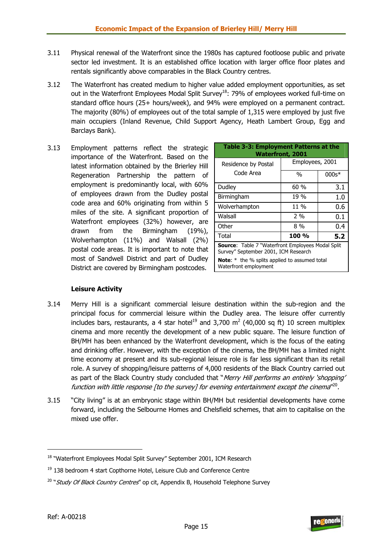- 3.11 Physical renewal of the Waterfront since the 1980s has captured footloose public and private sector led investment. It is an established office location with larger office floor plates and rentals significantly above comparables in the Black Country centres.
- 3.12 The Waterfront has created medium to higher value added employment opportunities, as set out in the Waterfront Employees Modal Split Survey<sup>18</sup>: 79% of employees worked full-time on standard office hours (25+ hours/week), and 94% were employed on a permanent contract. The majority (80%) of employees out of the total sample of 1,315 were employed by just five main occupiers (Inland Revenue, Child Support Agency, Heath Lambert Group, Egg and Barclays Bank).
- 3.13 Employment patterns reflect the strategic importance of the Waterfront. Based on the latest information obtained by the Brierley Hill Regeneration Partnership the pattern of employment is predominantly local, with 60% of employees drawn from the Dudley postal code area and 60% originating from within 5 miles of the site. A significant proportion of Waterfront employees (32%) however, are drawn from the Birmingham (19%), Wolverhampton (11%) and Walsall (2%) postal code areas. It is important to note that most of Sandwell District and part of Dudley District are covered by Birmingham postcodes.

| <b>Table 3-3: Employment Patterns at the</b><br><b>Waterfront, 2001</b>                          |                 |         |  |  |  |
|--------------------------------------------------------------------------------------------------|-----------------|---------|--|--|--|
| Residence by Postal                                                                              | Employees, 2001 |         |  |  |  |
| Code Area                                                                                        | $\frac{0}{0}$   | $000s*$ |  |  |  |
| Dudley                                                                                           | 60%             | 3.1     |  |  |  |
| Birmingham                                                                                       | 19 %            | 1.0     |  |  |  |
| Wolverhampton                                                                                    | 11 %            | 0.6     |  |  |  |
| Walsall                                                                                          | $2\%$           | 0.1     |  |  |  |
| Other                                                                                            | 8 %             | 0.4     |  |  |  |
| Total                                                                                            | 100 %           | 5.2     |  |  |  |
| <b>Source:</b> Table 7 "Waterfront Employees Modal Split<br>Survey" September 2001, ICM Research |                 |         |  |  |  |
| <b>Note:</b> $*$ the % splits applied to assumed total<br>Waterfront employment                  |                 |         |  |  |  |

#### **Leisure Activity**

- 3.14 Merry Hill is a significant commercial leisure destination within the sub-region and the principal focus for commercial leisure within the Dudley area. The leisure offer currently includes bars, restaurants, a 4 star hotel<sup>19</sup> and 3,700 m<sup>2</sup> (40,000 sq ft) 10 screen multiplex cinema and more recently the development of a new public square. The leisure function of BH/MH has been enhanced by the Waterfront development, which is the focus of the eating and drinking offer. However, with the exception of the cinema, the BH/MH has a limited night time economy at present and its sub-regional leisure role is far less significant than its retail role. A survey of shopping/leisure patterns of 4,000 residents of the Black Country carried out as part of the Black Country study concluded that "Merry Hill performs an entirely 'shopping' function with little response [to the survey] for evening entertainment except the cinema<sup>n20</sup>.
- 3.15 "City living" is at an embryonic stage within BH/MH but residential developments have come forward, including the Selbourne Homes and Chelsfield schemes, that aim to capitalise on the mixed use offer.



<sup>&</sup>lt;sup>18</sup> "Waterfront Employees Modal Split Survey" September 2001, ICM Research

 $19$  138 bedroom 4 start Copthorne Hotel, Leisure Club and Conference Centre

 $20$  "Study Of Black Country Centres" op cit, Appendix B, Household Telephone Survey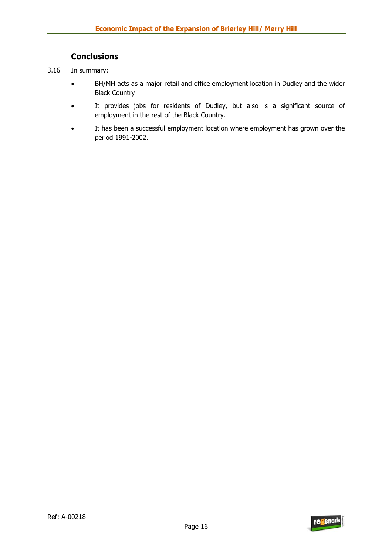## **Conclusions**

- 3.16 In summary:
	- BH/MH acts as a major retail and office employment location in Dudley and the wider Black Country
	- It provides jobs for residents of Dudley, but also is a significant source of employment in the rest of the Black Country.
	- It has been a successful employment location where employment has grown over the period 1991-2002.

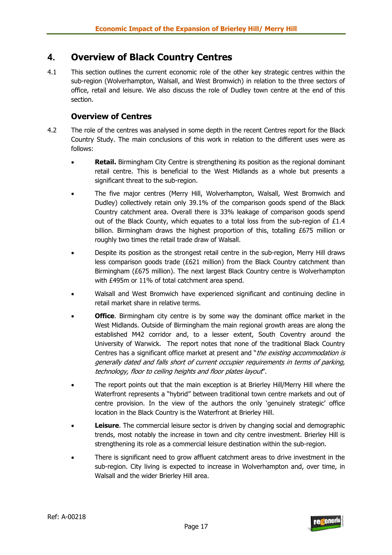# **4. Overview of Black Country Centres**

4.1 This section outlines the current economic role of the other key strategic centres within the sub-region (Wolverhampton, Walsall, and West Bromwich) in relation to the three sectors of office, retail and leisure. We also discuss the role of Dudley town centre at the end of this section.

## **Overview of Centres**

- 4.2 The role of the centres was analysed in some depth in the recent Centres report for the Black Country Study. The main conclusions of this work in relation to the different uses were as follows:
	- **Retail.** Birmingham City Centre is strengthening its position as the regional dominant retail centre. This is beneficial to the West Midlands as a whole but presents a significant threat to the sub-region.
	- The five major centres (Merry Hill, Wolverhampton, Walsall, West Bromwich and Dudley) collectively retain only 39.1% of the comparison goods spend of the Black Country catchment area. Overall there is 33% leakage of comparison goods spend out of the Black County, which equates to a total loss from the sub-region of  $£1.4$ billion. Birmingham draws the highest proportion of this, totalling £675 million or roughly two times the retail trade draw of Walsall.
	- Despite its position as the strongest retail centre in the sub-region, Merry Hill draws less comparison goods trade ( $E621$  million) from the Black Country catchment than Birmingham (£675 million). The next largest Black Country centre is Wolverhampton with £495m or 11% of total catchment area spend.
	- Walsall and West Bromwich have experienced significant and continuing decline in retail market share in relative terms.
	- **Office**. Birmingham city centre is by some way the dominant office market in the West Midlands. Outside of Birmingham the main regional growth areas are along the established M42 corridor and, to a lesser extent, South Coventry around the University of Warwick. The report notes that none of the traditional Black Country Centres has a significant office market at present and "*the existing accommodation is* generally dated and falls short of current occupier requirements in terms of parking, technology, floor to ceiling heights and floor plates layout".
	- The report points out that the main exception is at Brierley Hill/Merry Hill where the Waterfront represents a "hybrid" between traditional town centre markets and out of centre provision. In the view of the authors the only 'genuinely strategic' office location in the Black Country is the Waterfront at Brierley Hill.
	- **Leisure**. The commercial leisure sector is driven by changing social and demographic trends, most notably the increase in town and city centre investment. Brierley Hill is strengthening its role as a commercial leisure destination within the sub-region.
	- There is significant need to grow affluent catchment areas to drive investment in the sub-region. City living is expected to increase in Wolverhampton and, over time, in Walsall and the wider Brierley Hill area.

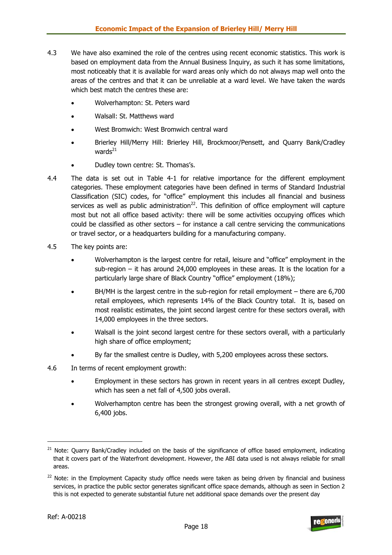- 4.3 We have also examined the role of the centres using recent economic statistics. This work is based on employment data from the Annual Business Inquiry, as such it has some limitations, most noticeably that it is available for ward areas only which do not always map well onto the areas of the centres and that it can be unreliable at a ward level. We have taken the wards which best match the centres these are:
	- Wolverhampton: St. Peters ward
	- Walsall: St. Matthews ward
	- West Bromwich: West Bromwich central ward
	- Brierley Hill/Merry Hill: Brierley Hill, Brockmoor/Pensett, and Quarry Bank/Cradley wards $^{21}$
	- Dudley town centre: St. Thomas's.
- 4.4 The data is set out in Table 4-1 for relative importance for the different employment categories. These employment categories have been defined in terms of Standard Industrial Classification (SIC) codes, for "office" employment this includes all financial and business services as well as public administration<sup>22</sup>. This definition of office employment will capture most but not all office based activity: there will be some activities occupying offices which could be classified as other sectors – for instance a call centre servicing the communications or travel sector, or a headquarters building for a manufacturing company.
- 4.5 The key points are:
	- Wolverhampton is the largest centre for retail, leisure and "office" employment in the sub-region – it has around 24,000 employees in these areas. It is the location for a particularly large share of Black Country "office" employment (18%);
	- $BH/MH$  is the largest centre in the sub-region for retail employment there are 6,700 retail employees, which represents 14% of the Black Country total. It is, based on most realistic estimates, the joint second largest centre for these sectors overall, with 14,000 employees in the three sectors.
	- Walsall is the joint second largest centre for these sectors overall, with a particularly high share of office employment;
	- By far the smallest centre is Dudley, with 5,200 employees across these sectors.
- 4.6 In terms of recent employment growth:
	- Employment in these sectors has grown in recent years in all centres except Dudley, which has seen a net fall of 4,500 jobs overall.
	- Wolverhampton centre has been the strongest growing overall, with a net growth of 6,400 jobs.



<sup>&</sup>lt;sup>21</sup> Note: Quarry Bank/Cradley included on the basis of the significance of office based employment, indicating that it covers part of the Waterfront development. However, the ABI data used is not always reliable for small areas.

 $22$  Note: in the Employment Capacity study office needs were taken as being driven by financial and business services, in practice the public sector generates significant office space demands, although as seen in Section 2 this is not expected to generate substantial future net additional space demands over the present day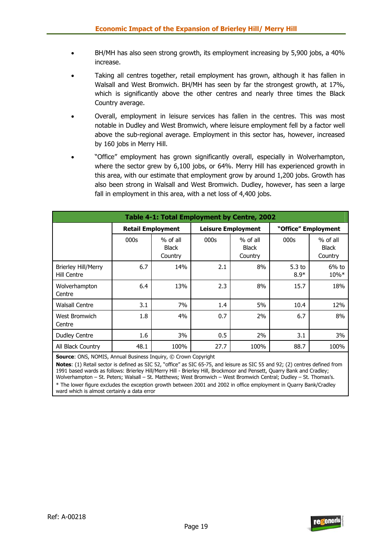- BH/MH has also seen strong growth, its employment increasing by 5,900 jobs, a 40% increase.
- Taking all centres together, retail employment has grown, although it has fallen in Walsall and West Bromwich. BH/MH has seen by far the strongest growth, at 17%, which is significantly above the other centres and nearly three times the Black Country average.
- Overall, employment in leisure services has fallen in the centres. This was most notable in Dudley and West Bromwich, where leisure employment fell by a factor well above the sub-regional average. Employment in this sector has, however, increased by 160 jobs in Merry Hill.
- "Office" employment has grown significantly overall, especially in Wolverhampton, where the sector grew by 6,100 jobs, or 64%. Merry Hill has experienced growth in this area, with our estimate that employment grow by around 1,200 jobs. Growth has also been strong in Walsall and West Bromwich. Dudley, however, has seen a large fall in employment in this area, with a net loss of 4,400 jobs.

| Table 4-1: Total Employment by Centre, 2002 |                          |                                       |      |                                       |                             |                                     |  |
|---------------------------------------------|--------------------------|---------------------------------------|------|---------------------------------------|-----------------------------|-------------------------------------|--|
|                                             | <b>Retail Employment</b> |                                       |      | <b>Leisure Employment</b>             |                             | "Office" Employment                 |  |
|                                             | 000s                     | $%$ of all<br><b>Black</b><br>Country | 000s | $%$ of all<br><b>Black</b><br>Country | 000s                        | % of all<br><b>Black</b><br>Country |  |
| <b>Brierley Hill/Merry</b><br>Hill Centre   | 6.7                      | 14%                                   | 2.1  | 8%                                    | 5.3 <sub>to</sub><br>$8.9*$ | $6%$ to<br>10%*                     |  |
| Wolverhampton<br>Centre                     | 6.4                      | 13%                                   | 2.3  | 8%                                    | 15.7                        | 18%                                 |  |
| <b>Walsall Centre</b>                       | 3.1                      | 7%                                    | 1.4  | 5%                                    | 10.4                        | 12%                                 |  |
| West Bromwich<br>Centre                     | 1.8                      | 4%                                    | 0.7  | 2%                                    | 6.7                         | 8%                                  |  |
| <b>Dudley Centre</b>                        | 1.6                      | 3%                                    | 0.5  | 2%                                    | 3.1                         | 3%                                  |  |
| All Black Country                           | 48.1                     | 100%                                  | 27.7 | 100%                                  | 88.7                        | 100%                                |  |

**Source**: ONS, NOMIS, Annual Business Inquiry, © Crown Copyright

**Notes**: (1) Retail sector is defined as SIC 52, "office" as SIC 65-75, and leisure as SIC 55 and 92; (2) centres defined from 1991 based wards as follows: Brierley Hill/Merry Hill - Brierley Hill, Brockmoor and Pensett, Quarry Bank and Cradley; Wolverhampton – St. Peters; Walsall – St. Matthews; West Bromwich – West Bromwich Central; Dudley – St. Thomas's. \* The lower figure excludes the exception growth between 2001 and 2002 in office employment in Quarry Bank/Cradley ward which is almost certainly a data error

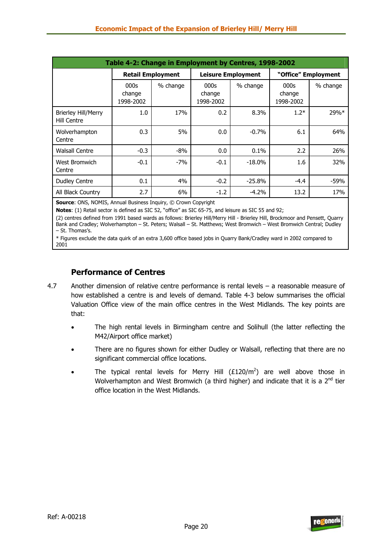| Table 4-2: Change in Employment by Centres, 1998-2002 |                             |          |                             |                           |                             |                     |  |
|-------------------------------------------------------|-----------------------------|----------|-----------------------------|---------------------------|-----------------------------|---------------------|--|
|                                                       | <b>Retail Employment</b>    |          |                             | <b>Leisure Employment</b> |                             | "Office" Employment |  |
|                                                       | 000s<br>change<br>1998-2002 | % change | 000s<br>change<br>1998-2002 | % change                  | 000s<br>change<br>1998-2002 | % change            |  |
| <b>Brierley Hill/Merry</b><br>Hill Centre             | 1.0                         | 17%      | 0.2                         | 8.3%                      | $1.2*$                      | 29%*                |  |
| Wolverhampton<br>Centre                               | 0.3                         | 5%       | 0.0                         | $-0.7%$                   | 6.1                         | 64%                 |  |
| <b>Walsall Centre</b>                                 | $-0.3$                      | $-8%$    | 0.0                         | 0.1%                      | 2.2                         | 26%                 |  |
| West Bromwich<br>Centre                               | $-0.1$                      | $-7%$    | $-0.1$                      | $-18.0%$                  | 1.6                         | 32%                 |  |
| <b>Dudley Centre</b>                                  | 0.1                         | 4%       | $-0.2$                      | $-25.8%$                  | $-4.4$                      | $-59%$              |  |
| All Black Country                                     | 2.7                         | 6%       | $-1.2$                      | $-4.2%$                   | 13.2                        | 17%                 |  |

**Source**: ONS, NOMIS, Annual Business Inquiry, © Crown Copyright

**Notes**: (1) Retail sector is defined as SIC 52, "office" as SIC 65-75, and leisure as SIC 55 and 92;

(2) centres defined from 1991 based wards as follows: Brierley Hill/Merry Hill - Brierley Hill, Brockmoor and Pensett, Quarry Bank and Cradley; Wolverhampton – St. Peters; Walsall – St. Matthews; West Bromwich – West Bromwich Central; Dudley – St. Thomas's.

\* Figures exclude the data quirk of an extra 3,600 office based jobs in Quarry Bank/Cradley ward in 2002 compared to 2001

## **Performance of Centres**

- 4.7 Another dimension of relative centre performance is rental levels a reasonable measure of how established a centre is and levels of demand. Table 4-3 below summarises the official Valuation Office view of the main office centres in the West Midlands. The key points are that:
	- The high rental levels in Birmingham centre and Solihull (the latter reflecting the M42/Airport office market)
	- There are no figures shown for either Dudley or Walsall, reflecting that there are no significant commercial office locations.
	- The typical rental levels for Merry Hill  $(\text{\textsterling}120/m^2)$  are well above those in Wolverhampton and West Bromwich (a third higher) and indicate that it is a  $2^{nd}$  tier office location in the West Midlands.

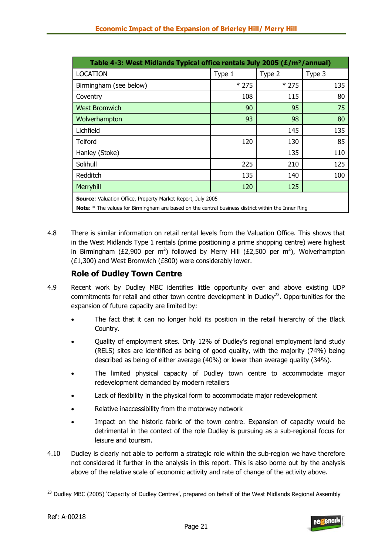| Table 4-3: West Midlands Typical office rentals July 2005 (£/m <sup>2</sup> /annual)                                                                                            |        |        |        |  |  |  |
|---------------------------------------------------------------------------------------------------------------------------------------------------------------------------------|--------|--------|--------|--|--|--|
| <b>LOCATION</b>                                                                                                                                                                 | Type 1 | Type 2 | Type 3 |  |  |  |
| Birmingham (see below)                                                                                                                                                          | $*275$ | $*275$ | 135    |  |  |  |
| Coventry                                                                                                                                                                        | 108    | 115    | 80     |  |  |  |
| <b>West Bromwich</b>                                                                                                                                                            | 90     | 95     | 75     |  |  |  |
| Wolverhampton                                                                                                                                                                   | 93     | 98     | 80     |  |  |  |
| Lichfield                                                                                                                                                                       |        | 145    | 135    |  |  |  |
| Telford                                                                                                                                                                         | 120    | 130    | 85     |  |  |  |
| Hanley (Stoke)                                                                                                                                                                  |        | 135    | 110    |  |  |  |
| Solihull                                                                                                                                                                        | 225    | 210    | 125    |  |  |  |
| Redditch                                                                                                                                                                        | 135    | 140    | 100    |  |  |  |
| Merryhill                                                                                                                                                                       | 120    | 125    |        |  |  |  |
| <b>Source:</b> Valuation Office, Property Market Report, July 2005<br><b>Note:</b> * The values for Birmingham are based on the central business district within the Inner Ring |        |        |        |  |  |  |

4.8 There is similar information on retail rental levels from the Valuation Office. This shows that in the West Midlands Type 1 rentals (prime positioning a prime shopping centre) were highest in Birmingham (£2,900 per m<sup>2</sup>) followed by Merry Hill (£2,500 per m<sup>2</sup>), Wolverhampton (£1,300) and West Bromwich (£800) were considerably lower.

## **Role of Dudley Town Centre**

- 4.9 Recent work by Dudley MBC identifies little opportunity over and above existing UDP commitments for retail and other town centre development in Dudley<sup>23</sup>. Opportunities for the expansion of future capacity are limited by:
	- The fact that it can no longer hold its position in the retail hierarchy of the Black Country.
	- Quality of employment sites. Only 12% of Dudley's regional employment land study (RELS) sites are identified as being of good quality, with the majority (74%) being described as being of either average (40%) or lower than average quality (34%).
	- The limited physical capacity of Dudley town centre to accommodate major redevelopment demanded by modern retailers
	- Lack of flexibility in the physical form to accommodate major redevelopment
	- Relative inaccessibility from the motorway network
	- Impact on the historic fabric of the town centre. Expansion of capacity would be detrimental in the context of the role Dudley is pursuing as a sub-regional focus for leisure and tourism.
- 4.10 Dudley is clearly not able to perform a strategic role within the sub-region we have therefore not considered it further in the analysis in this report. This is also borne out by the analysis above of the relative scale of economic activity and rate of change of the activity above.



<sup>&</sup>lt;sup>23</sup> Dudley MBC (2005) 'Capacity of Dudley Centres', prepared on behalf of the West Midlands Regional Assembly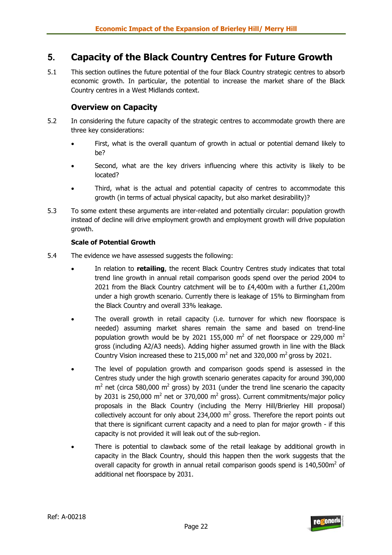# **5. Capacity of the Black Country Centres for Future Growth**

5.1 This section outlines the future potential of the four Black Country strategic centres to absorb economic growth. In particular, the potential to increase the market share of the Black Country centres in a West Midlands context.

## **Overview on Capacity**

- 5.2 In considering the future capacity of the strategic centres to accommodate growth there are three key considerations:
	- First, what is the overall quantum of growth in actual or potential demand likely to be?
	- Second, what are the key drivers influencing where this activity is likely to be located?
	- Third, what is the actual and potential capacity of centres to accommodate this growth (in terms of actual physical capacity, but also market desirability)?
- 5.3 To some extent these arguments are inter-related and potentially circular: population growth instead of decline will drive employment growth and employment growth will drive population growth.

#### **Scale of Potential Growth**

- 5.4 The evidence we have assessed suggests the following:
	- In relation to **retailing**, the recent Black Country Centres study indicates that total trend line growth in annual retail comparison goods spend over the period 2004 to 2021 from the Black Country catchment will be to  $£4,400m$  with a further  $£1,200m$ under a high growth scenario. Currently there is leakage of 15% to Birmingham from the Black Country and overall 33% leakage.
	- The overall growth in retail capacity (i.e. turnover for which new floorspace is needed) assuming market shares remain the same and based on trend-line population growth would be by 2021 155,000  $\text{m}^2$  of net floorspace or 229,000  $\text{m}^2$ gross (including A2/A3 needs). Adding higher assumed growth in line with the Black Country Vision increased these to 215,000  $m^2$  net and 320,000  $m^2$  gross by 2021.
	- The level of population growth and comparison goods spend is assessed in the Centres study under the high growth scenario generates capacity for around 390,000  $m<sup>2</sup>$  net (circa 580,000  $m<sup>2</sup>$  gross) by 2031 (under the trend line scenario the capacity by 2031 is 250,000 m<sup>2</sup> net or 370,000 m<sup>2</sup> gross). Current commitments/major policy proposals in the Black Country (including the Merry Hill/Brierley Hill proposal) collectively account for only about 234,000  $m^2$  gross. Therefore the report points out that there is significant current capacity and a need to plan for major growth - if this capacity is not provided it will leak out of the sub-region.
	- There is potential to clawback some of the retail leakage by additional growth in capacity in the Black Country, should this happen then the work suggests that the overall capacity for growth in annual retail comparison goods spend is  $140,500$ m<sup>2</sup> of additional net floorspace by 2031.

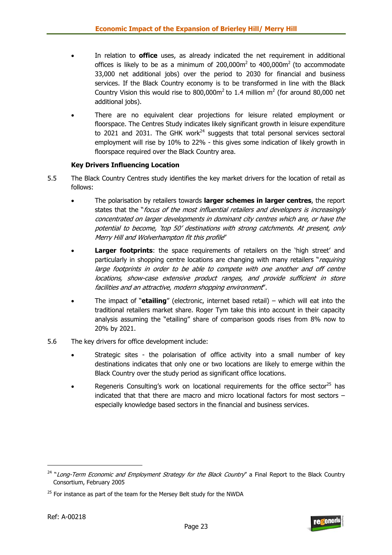- In relation to **office** uses, as already indicated the net requirement in additional offices is likely to be as a minimum of  $200,000m^2$  to  $400,000m^2$  (to accommodate 33,000 net additional jobs) over the period to 2030 for financial and business services. If the Black Country economy is to be transformed in line with the Black Country Vision this would rise to  $800,000$ m<sup>2</sup> to 1.4 million m<sup>2</sup> (for around 80,000 net additional jobs).
- There are no equivalent clear projections for leisure related employment or floorspace. The Centres Study indicates likely significant growth in leisure expenditure to 2021 and 2031. The GHK work $^{24}$  suggests that total personal services sectoral employment will rise by 10% to 22% - this gives some indication of likely growth in floorspace required over the Black Country area.

#### **Key Drivers Influencing Location**

- 5.5 The Black Country Centres study identifies the key market drivers for the location of retail as follows:
	- The polarisation by retailers towards **larger schemes in larger centres**, the report states that the "focus of the most influential retailers and developers is increasingly concentrated on larger developments in dominant city centres which are, or have the potential to become, 'top 50' destinations with strong catchments. At present, only Merry Hill and Wolverhampton fit this profile"
	- **Larger footprints**: the space requirements of retailers on the 'high street' and particularly in shopping centre locations are changing with many retailers "requiring large footprints in order to be able to compete with one another and off centre locations, show-case extensive product ranges, and provide sufficient in store facilities and an attractive, modern shopping environment".
	- The impact of "**etailing**" (electronic, internet based retail) which will eat into the traditional retailers market share. Roger Tym take this into account in their capacity analysis assuming the "etailing" share of comparison goods rises from 8% now to 20% by 2021.
- 5.6 The key drivers for office development include:
	- Strategic sites the polarisation of office activity into a small number of key destinations indicates that only one or two locations are likely to emerge within the Black Country over the study period as significant office locations.
	- Regeneris Consulting's work on locational requirements for the office sector $^{25}$  has indicated that that there are macro and micro locational factors for most sectors – especially knowledge based sectors in the financial and business services.



<sup>&</sup>lt;sup>24</sup> "Long-Term Economic and Employment Strategy for the Black Country" a Final Report to the Black Country Consortium, February 2005

 $25$  For instance as part of the team for the Mersey Belt study for the NWDA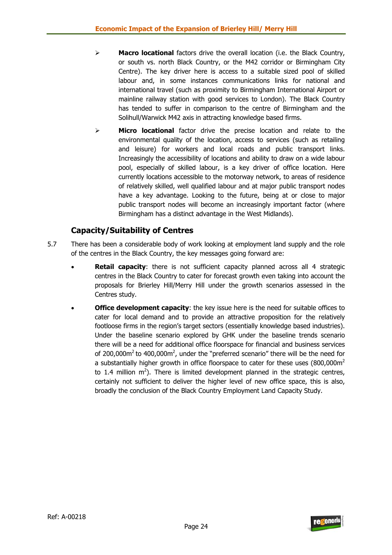- ¾ **Macro locational** factors drive the overall location (i.e. the Black Country, or south vs. north Black Country, or the M42 corridor or Birmingham City Centre). The key driver here is access to a suitable sized pool of skilled labour and, in some instances communications links for national and international travel (such as proximity to Birmingham International Airport or mainline railway station with good services to London). The Black Country has tended to suffer in comparison to the centre of Birmingham and the Solihull/Warwick M42 axis in attracting knowledge based firms.
- ¾ **Micro locational** factor drive the precise location and relate to the environmental quality of the location, access to services (such as retailing and leisure) for workers and local roads and public transport links. Increasingly the accessibility of locations and ability to draw on a wide labour pool, especially of skilled labour, is a key driver of office location. Here currently locations accessible to the motorway network, to areas of residence of relatively skilled, well qualified labour and at major public transport nodes have a key advantage. Looking to the future, being at or close to major public transport nodes will become an increasingly important factor (where Birmingham has a distinct advantage in the West Midlands).

## **Capacity/Suitability of Centres**

- 5.7 There has been a considerable body of work looking at employment land supply and the role of the centres in the Black Country, the key messages going forward are:
	- **Retail capacity:** there is not sufficient capacity planned across all 4 strategic centres in the Black Country to cater for forecast growth even taking into account the proposals for Brierley Hill/Merry Hill under the growth scenarios assessed in the Centres study.
	- **Office development capacity:** the key issue here is the need for suitable offices to cater for local demand and to provide an attractive proposition for the relatively footloose firms in the region's target sectors (essentially knowledge based industries). Under the baseline scenario explored by GHK under the baseline trends scenario there will be a need for additional office floorspace for financial and business services of 200,000 $\text{m}^2$  to 400,000 $\text{m}^2$ , under the "preferred scenario" there will be the need for a substantially higher growth in office floorspace to cater for these uses  $(800,000\text{m}^2)$ to 1.4 million  $m^2$ ). There is limited development planned in the strategic centres, certainly not sufficient to deliver the higher level of new office space, this is also, broadly the conclusion of the Black Country Employment Land Capacity Study.



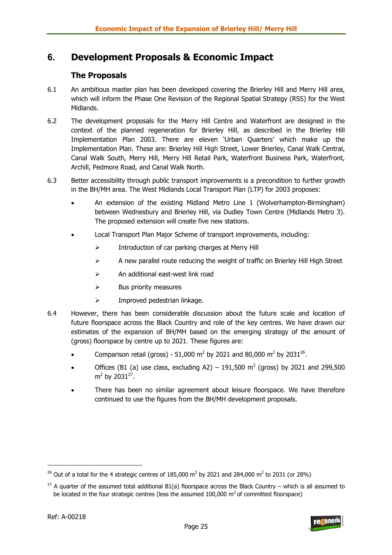# **6. Development Proposals & Economic Impact**

## **The Proposals**

- 6.1 An ambitious master plan has been developed covering the Brierley Hill and Merry Hill area, which will inform the Phase One Revision of the Regional Spatial Strategy (RSS) for the West Midlands.
- 6.2 The development proposals for the Merry Hill Centre and Waterfront are designed in the context of the planned regeneration for Brierley Hill, as described in the Brierley Hill Implementation Plan 2003. There are eleven 'Urban Quarters' which make up the Implementation Plan. These are: Brierley Hill High Street, Lower Brierley, Canal Walk Central, Canal Walk South, Merry Hill, Merry Hill Retail Park, Waterfront Business Park, Waterfront, Archill, Pedmore Road, and Canal Walk North.
- 6.3 Better accessibility through public transport improvements is a precondition to further growth in the BH/MH area. The West Midlands Local Transport Plan (LTP) for 2003 proposes:
	- An extension of the existing Midland Metro Line 1 (Wolverhampton-Birmingham) between Wednesbury and Brierley Hill, via Dudley Town Centre (Midlands Metro 3). The proposed extension will create five new stations.
	- Local Transport Plan Major Scheme of transport improvements, including:
		- ¾ Introduction of car parking charges at Merry Hill
		- $\triangleright$  A new parallel route reducing the weight of traffic on Brierley Hill High Street
		- ¾ An additional east-west link road
		- $\triangleright$  Bus priority measures
		- $\triangleright$  Improved pedestrian linkage.
- 6.4 However, there has been considerable discussion about the future scale and location of future floorspace across the Black Country and role of the key centres. We have drawn our estimates of the expansion of BH/MH based on the emerging strategy of the amount of (gross) floorspace by centre up to 2021. These figures are:
	- Comparison retail (gross) 51,000 m<sup>2</sup> by 2021 and 80,000 m<sup>2</sup> by 2031<sup>26</sup>.
	- Offices (B1 (a) use class, excluding A2) 191,500  $\text{m}^2$  (gross) by 2021 and 299,500  $m<sup>2</sup>$  by 2031<sup>27</sup>.
	- There has been no similar agreement about leisure floorspace. We have therefore continued to use the figures from the BH/MH development proposals.

<sup>&</sup>lt;sup>26</sup> Out of a total for the 4 strategic centres of 185,000 m<sup>2</sup> by 2021 and 284,000 m<sup>2</sup> to 2031 (or 28%)

<sup>&</sup>lt;sup>27</sup> A quarter of the assumed total additional B1(a) floorspace across the Black Country – which is all assumed to be located in the four strategic centres (less the assumed  $100,000$  m<sup>2</sup> of committed floorspace)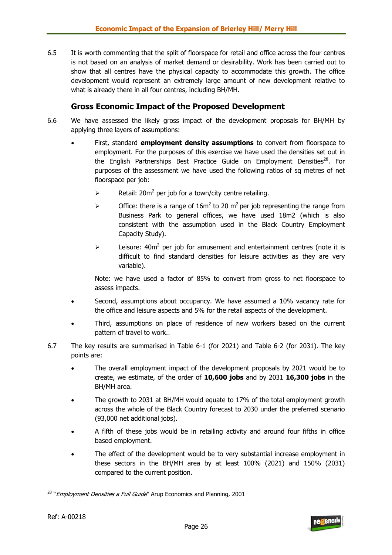6.5 It is worth commenting that the split of floorspace for retail and office across the four centres is not based on an analysis of market demand or desirability. Work has been carried out to show that all centres have the physical capacity to accommodate this growth. The office development would represent an extremely large amount of new development relative to what is already there in all four centres, including BH/MH.

### **Gross Economic Impact of the Proposed Development**

- 6.6 We have assessed the likely gross impact of the development proposals for BH/MH by applying three layers of assumptions:
	- First, standard **employment density assumptions** to convert from floorspace to employment. For the purposes of this exercise we have used the densities set out in the English Partnerships Best Practice Guide on Employment Densities<sup>28</sup>. For purposes of the assessment we have used the following ratios of sq metres of net floorspace per job:
		- $\triangleright$  Retail: 20m<sup>2</sup> per job for a town/city centre retailing.
		- $\triangleright$  Office: there is a range of 16m<sup>2</sup> to 20 m<sup>2</sup> per job representing the range from Business Park to general offices, we have used 18m2 (which is also consistent with the assumption used in the Black Country Employment Capacity Study).
		- $\triangleright$  Leisure: 40m<sup>2</sup> per job for amusement and entertainment centres (note it is difficult to find standard densities for leisure activities as they are very variable).

Note: we have used a factor of 85% to convert from gross to net floorspace to assess impacts.

- Second, assumptions about occupancy. We have assumed a 10% vacancy rate for the office and leisure aspects and 5% for the retail aspects of the development.
- Third, assumptions on place of residence of new workers based on the current pattern of travel to work..
- 6.7 The key results are summarised in Table 6-1 (for 2021) and Table 6-2 (for 2031). The key points are:
	- The overall employment impact of the development proposals by 2021 would be to create, we estimate, of the order of **10,600 jobs** and by 2031 **16,300 jobs** in the BH/MH area.
	- The growth to 2031 at BH/MH would equate to 17% of the total employment growth across the whole of the Black Country forecast to 2030 under the preferred scenario (93,000 net additional jobs).
	- A fifth of these jobs would be in retailing activity and around four fifths in office based employment.
	- The effect of the development would be to very substantial increase employment in these sectors in the BH/MH area by at least 100% (2021) and 150% (2031) compared to the current position.



<sup>&</sup>lt;sup>28</sup> "*Employment Densities a Full Guide*" Arup Economics and Planning, 2001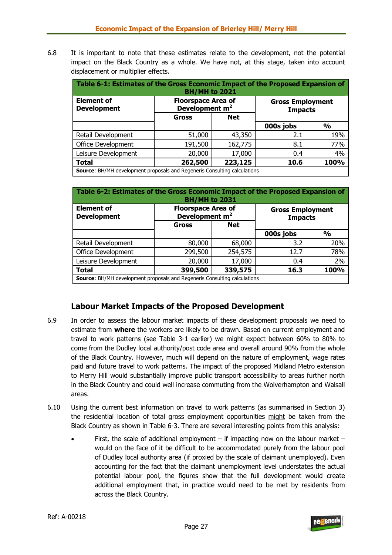6.8 It is important to note that these estimates relate to the development, not the potential impact on the Black Country as a whole. We have not, at this stage, taken into account displacement or multiplier effects.

| Table 6-1: Estimates of the Gross Economic Impact of the Proposed Expansion of<br><b>BH/MH to 2021</b>                                          |                                    |            |           |               |  |  |  |
|-------------------------------------------------------------------------------------------------------------------------------------------------|------------------------------------|------------|-----------|---------------|--|--|--|
| <b>Element of</b><br><b>Floorspace Area of</b><br><b>Gross Employment</b><br>Development m <sup>2</sup><br><b>Development</b><br><b>Impacts</b> |                                    |            |           |               |  |  |  |
|                                                                                                                                                 | <b>Gross</b>                       | <b>Net</b> |           |               |  |  |  |
|                                                                                                                                                 |                                    |            | 000s jobs | $\frac{1}{2}$ |  |  |  |
| Retail Development                                                                                                                              | 51,000                             | 43,350     | 2.1       | 19%           |  |  |  |
| <b>Office Development</b>                                                                                                                       | 162,775                            | 8.1        | 77%       |               |  |  |  |
| 4%<br>Leisure Development<br>20,000<br>17,000<br>0.4                                                                                            |                                    |            |           |               |  |  |  |
| <b>Total</b>                                                                                                                                    | 223,125<br>262,500<br>100%<br>10.6 |            |           |               |  |  |  |
| <b>Source:</b> BH/MH development proposals and Regeneris Consulting calculations                                                                |                                    |            |           |               |  |  |  |

| Table 6-2: Estimates of the Gross Economic Impact of the Proposed Expansion of<br><b>BH/MH to 2031</b> |                                                         |         |                                           |               |  |  |  |
|--------------------------------------------------------------------------------------------------------|---------------------------------------------------------|---------|-------------------------------------------|---------------|--|--|--|
| <b>Element of</b><br><b>Development</b>                                                                | <b>Floorspace Area of</b><br>Development m <sup>2</sup> |         | <b>Gross Employment</b><br><b>Impacts</b> |               |  |  |  |
|                                                                                                        | <b>Net</b><br>Gross                                     |         |                                           |               |  |  |  |
|                                                                                                        |                                                         |         | 000s jobs                                 | $\frac{0}{0}$ |  |  |  |
| Retail Development                                                                                     | 80,000                                                  | 68,000  | 3.2                                       | 20%           |  |  |  |
| <b>Office Development</b>                                                                              | 299,500                                                 | 254,575 | 12.7                                      | 78%           |  |  |  |
| Leisure Development<br>20,000<br>17,000<br>0.4                                                         |                                                         |         |                                           |               |  |  |  |
| <b>Total</b>                                                                                           | 399,500                                                 | 339,575 | 16.3                                      | 100%          |  |  |  |
| <b>Source: BH/MH development proposals and Regeneris Consulting calculations</b>                       |                                                         |         |                                           |               |  |  |  |

## **Labour Market Impacts of the Proposed Development**

- 6.9 In order to assess the labour market impacts of these development proposals we need to estimate from **where** the workers are likely to be drawn. Based on current employment and travel to work patterns (see Table 3-1 earlier) we might expect between 60% to 80% to come from the Dudley local authority/post code area and overall around 90% from the whole of the Black Country. However, much will depend on the nature of employment, wage rates paid and future travel to work patterns. The impact of the proposed Midland Metro extension to Merry Hill would substantially improve public transport accessibility to areas further north in the Black Country and could well increase commuting from the Wolverhampton and Walsall areas.
- 6.10 Using the current best information on travel to work patterns (as summarised in Section 3) the residential location of total gross employment opportunities might be taken from the Black Country as shown in Table 6-3. There are several interesting points from this analysis:
	- First, the scale of additional employment if impacting now on the labour market would on the face of it be difficult to be accommodated purely from the labour pool of Dudley local authority area (if proxied by the scale of claimant unemployed). Even accounting for the fact that the claimant unemployment level understates the actual potential labour pool, the figures show that the full development would create additional employment that, in practice would need to be met by residents from across the Black Country.

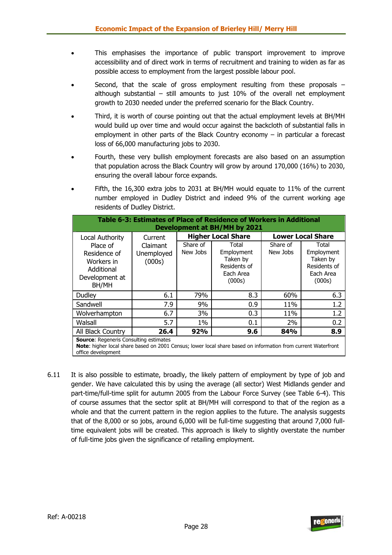- This emphasises the importance of public transport improvement to improve accessibility and of direct work in terms of recruitment and training to widen as far as possible access to employment from the largest possible labour pool.
- Second, that the scale of gross employment resulting from these proposals although substantial – still amounts to just 10% of the overall net employment growth to 2030 needed under the preferred scenario for the Black Country.
- Third, it is worth of course pointing out that the actual employment levels at BH/MH would build up over time and would occur against the backcloth of substantial falls in employment in other parts of the Black Country economy – in particular a forecast loss of 66,000 manufacturing jobs to 2030.
- Fourth, these very bullish employment forecasts are also based on an assumption that population across the Black Country will grow by around 170,000 (16%) to 2030, ensuring the overall labour force expands.
- Fifth, the 16,300 extra jobs to 2031 at BH/MH would equate to 11% of the current number employed in Dudley District and indeed 9% of the current working age residents of Dudley District.

| Table 6-3: Estimates of Place of Residence of Workers in Additional<br>Development at BH/MH by 2021 |                                  |                      |                                                                        |                      |                                                                        |  |  |  |
|-----------------------------------------------------------------------------------------------------|----------------------------------|----------------------|------------------------------------------------------------------------|----------------------|------------------------------------------------------------------------|--|--|--|
| Local Authority                                                                                     | Current                          |                      | <b>Higher Local Share</b>                                              |                      | <b>Lower Local Share</b>                                               |  |  |  |
| Place of<br>Residence of<br>Workers in<br>Additional<br>Development at<br>BH/MH                     | Claimant<br>Unemployed<br>(000s) | Share of<br>New Jobs | Total<br>Employment<br>Taken by<br>Residents of<br>Each Area<br>(000s) | Share of<br>New Jobs | Total<br>Employment<br>Taken by<br>Residents of<br>Each Area<br>(000s) |  |  |  |
| Dudley                                                                                              | 6.1                              | 79%                  | 8.3                                                                    | 60%                  | 6.3                                                                    |  |  |  |
| Sandwell                                                                                            | 7.9                              | 9%                   | 0.9                                                                    | 11%                  | 1.2                                                                    |  |  |  |
| Wolverhampton                                                                                       | 6.7                              | 3%                   | 0.3                                                                    | 11%                  | 1.2                                                                    |  |  |  |
| Walsall                                                                                             | 5.7                              | $1\%$                | 0.1                                                                    | 2%                   | 0.2                                                                    |  |  |  |
| All Black Country                                                                                   | 26.4                             | 92%                  | 9.6                                                                    | 84%                  | 8.9                                                                    |  |  |  |
| <b>Source:</b> Regeneris Consulting estimates                                                       |                                  |                      |                                                                        |                      |                                                                        |  |  |  |

**Source**: Regeneris Consulting estimates

**Note**: higher local share based on 2001 Census; lower local share based on information from current Waterfront office development

6.11 It is also possible to estimate, broadly, the likely pattern of employment by type of job and gender. We have calculated this by using the average (all sector) West Midlands gender and part-time/full-time split for autumn 2005 from the Labour Force Survey (see Table 6-4). This of course assumes that the sector split at BH/MH will correspond to that of the region as a whole and that the current pattern in the region applies to the future. The analysis suggests that of the 8,000 or so jobs, around 6,000 will be full-time suggesting that around 7,000 fulltime equivalent jobs will be created. This approach is likely to slightly overstate the number of full-time jobs given the significance of retailing employment.



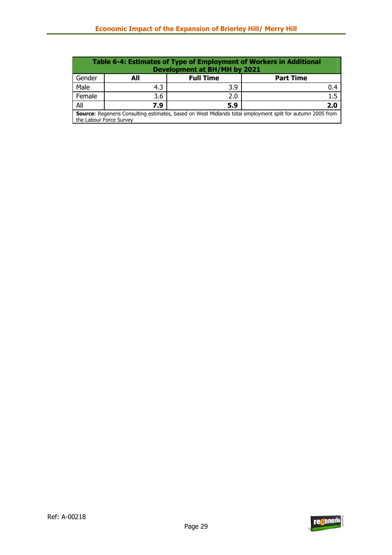| <b>Table 6-4: Estimates of Type of Employment of Workers in Additional</b><br>Development at BH/MH by 2021                                   |     |                  |                  |  |  |  |  |
|----------------------------------------------------------------------------------------------------------------------------------------------|-----|------------------|------------------|--|--|--|--|
| Gender                                                                                                                                       | All | <b>Full Time</b> | <b>Part Time</b> |  |  |  |  |
| Male                                                                                                                                         | 4.3 | 3.9              | 0.4              |  |  |  |  |
| Female                                                                                                                                       | 3.6 | 2.0              | 1.5              |  |  |  |  |
| All                                                                                                                                          | 7.9 | 5.9              | 2.0              |  |  |  |  |
| <b>Source:</b> Regeneris Consulting estimates, based on West Midlands total employment split for autumn 2005 from<br>the Labour Force Survey |     |                  |                  |  |  |  |  |

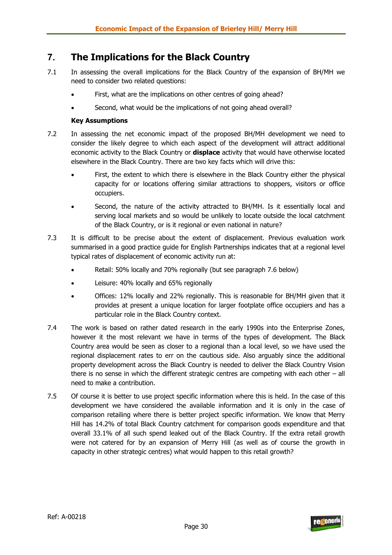# **7. The Implications for the Black Country**

- 7.1 In assessing the overall implications for the Black Country of the expansion of BH/MH we need to consider two related questions:
	- First, what are the implications on other centres of going ahead?
	- Second, what would be the implications of not going ahead overall?

#### **Key Assumptions**

- 7.2 In assessing the net economic impact of the proposed BH/MH development we need to consider the likely degree to which each aspect of the development will attract additional economic activity to the Black Country or **displace** activity that would have otherwise located elsewhere in the Black Country. There are two key facts which will drive this:
	- First, the extent to which there is elsewhere in the Black Country either the physical capacity for or locations offering similar attractions to shoppers, visitors or office occupiers.
	- Second, the nature of the activity attracted to BH/MH. Is it essentially local and serving local markets and so would be unlikely to locate outside the local catchment of the Black Country, or is it regional or even national in nature?
- 7.3 It is difficult to be precise about the extent of displacement. Previous evaluation work summarised in a good practice guide for English Partnerships indicates that at a regional level typical rates of displacement of economic activity run at:
	- Retail: 50% locally and 70% regionally (but see paragraph 7.6 below)
	- Leisure: 40% locally and 65% regionally
	- Offices: 12% locally and 22% regionally. This is reasonable for BH/MH given that it provides at present a unique location for larger footplate office occupiers and has a particular role in the Black Country context.
- 7.4 The work is based on rather dated research in the early 1990s into the Enterprise Zones, however it the most relevant we have in terms of the types of development. The Black Country area would be seen as closer to a regional than a local level, so we have used the regional displacement rates to err on the cautious side. Also arguably since the additional property development across the Black Country is needed to deliver the Black Country Vision there is no sense in which the different strategic centres are competing with each other – all need to make a contribution.
- 7.5 Of course it is better to use project specific information where this is held. In the case of this development we have considered the available information and it is only in the case of comparison retailing where there is better project specific information. We know that Merry Hill has 14.2% of total Black Country catchment for comparison goods expenditure and that overall 33.1% of all such spend leaked out of the Black Country. If the extra retail growth were not catered for by an expansion of Merry Hill (as well as of course the growth in capacity in other strategic centres) what would happen to this retail growth?

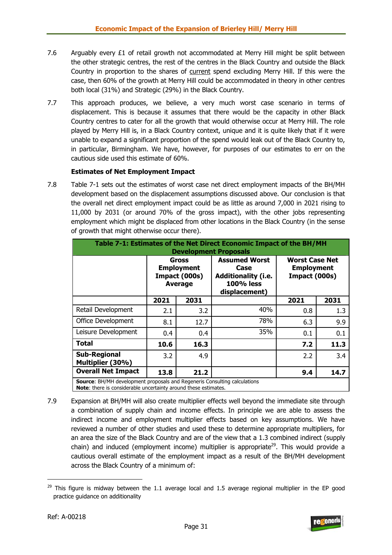- 7.6 Arguably every  $£1$  of retail growth not accommodated at Merry Hill might be split between the other strategic centres, the rest of the centres in the Black Country and outside the Black Country in proportion to the shares of current spend excluding Merry Hill. If this were the case, then 60% of the growth at Merry Hill could be accommodated in theory in other centres both local (31%) and Strategic (29%) in the Black Country.
- 7.7 This approach produces, we believe, a very much worst case scenario in terms of displacement. This is because it assumes that there would be the capacity in other Black Country centres to cater for all the growth that would otherwise occur at Merry Hill. The role played by Merry Hill is, in a Black Country context, unique and it is quite likely that if it were unable to expand a significant proportion of the spend would leak out of the Black Country to, in particular, Birmingham. We have, however, for purposes of our estimates to err on the cautious side used this estimate of 60%.

#### **Estimates of Net Employment Impact**

7.8 Table 7-1 sets out the estimates of worst case net direct employment impacts of the BH/MH development based on the displacement assumptions discussed above. Our conclusion is that the overall net direct employment impact could be as little as around 7,000 in 2021 rising to 11,000 by 2031 (or around 70% of the gross impact), with the other jobs representing employment which might be displaced from other locations in the Black Country (in the sense of growth that might otherwise occur there).

| Table 7-1: Estimates of the Net Direct Economic Impact of the BH/MH<br><b>Development Proposals</b>                                                 |                                                               |      |                                                                                                 |                                                             |      |  |  |  |
|-----------------------------------------------------------------------------------------------------------------------------------------------------|---------------------------------------------------------------|------|-------------------------------------------------------------------------------------------------|-------------------------------------------------------------|------|--|--|--|
|                                                                                                                                                     | Gross<br><b>Employment</b><br>Impact (000s)<br><b>Average</b> |      | <b>Assumed Worst</b><br>Case<br><b>Additionality (i.e.</b><br><b>100% less</b><br>displacement) | <b>Worst Case Net</b><br><b>Employment</b><br>Impact (000s) |      |  |  |  |
|                                                                                                                                                     | 2021                                                          | 2031 |                                                                                                 | 2021                                                        | 2031 |  |  |  |
| Retail Development                                                                                                                                  | 2.1                                                           | 3.2  | 40%                                                                                             | 0.8                                                         | 1.3  |  |  |  |
| <b>Office Development</b>                                                                                                                           | 8.1                                                           | 12.7 | 78%                                                                                             | 6.3                                                         | 9.9  |  |  |  |
| Leisure Development                                                                                                                                 | 0.4                                                           | 0.4  | 35%                                                                                             | 0.1                                                         | 0.1  |  |  |  |
| <b>Total</b>                                                                                                                                        | 10.6                                                          | 16.3 |                                                                                                 | 7.2                                                         | 11.3 |  |  |  |
| <b>Sub-Regional</b><br>Multiplier (30%)                                                                                                             | 3.2                                                           | 4.9  |                                                                                                 | 2.2                                                         | 3.4  |  |  |  |
| <b>Overall Net Impact</b>                                                                                                                           | 13.8                                                          | 21.2 |                                                                                                 | 9.4                                                         | 14.7 |  |  |  |
| Source: BH/MH development proposals and Regeneris Consulting calculations<br><b>Note:</b> there is considerable uncertainty around these estimates. |                                                               |      |                                                                                                 |                                                             |      |  |  |  |

7.9 Expansion at BH/MH will also create multiplier effects well beyond the immediate site through a combination of supply chain and income effects. In principle we are able to assess the indirect income and employment multiplier effects based on key assumptions. We have reviewed a number of other studies and used these to determine appropriate multipliers, for an area the size of the Black Country and are of the view that a 1.3 combined indirect (supply chain) and induced (employment income) multiplier is appropriate<sup>29</sup>. This would provide a cautious overall estimate of the employment impact as a result of the BH/MH development across the Black Country of a minimum of:



<sup>&</sup>lt;sup>29</sup> This figure is midway between the 1.1 average local and 1.5 average regional multiplier in the EP good practice guidance on additionality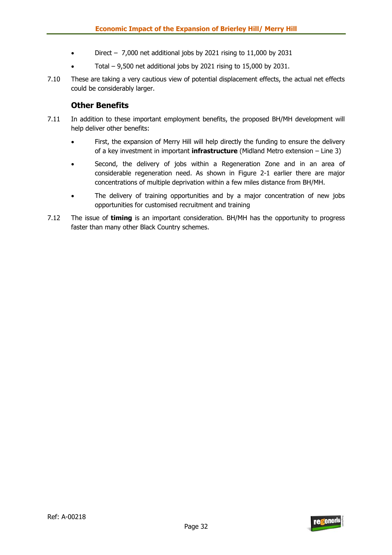- Direct  $-7,000$  net additional jobs by 2021 rising to 11,000 by 2031
- Total  $-$  9,500 net additional jobs by 2021 rising to 15,000 by 2031.
- 7.10 These are taking a very cautious view of potential displacement effects, the actual net effects could be considerably larger.

### **Other Benefits**

- 7.11 In addition to these important employment benefits, the proposed BH/MH development will help deliver other benefits:
	- First, the expansion of Merry Hill will help directly the funding to ensure the delivery of a key investment in important **infrastructure** (Midland Metro extension – Line 3)
	- Second, the delivery of jobs within a Regeneration Zone and in an area of considerable regeneration need. As shown in Figure 2-1 earlier there are major concentrations of multiple deprivation within a few miles distance from BH/MH.
	- The delivery of training opportunities and by a major concentration of new jobs opportunities for customised recruitment and training
- 7.12 The issue of **timing** is an important consideration. BH/MH has the opportunity to progress faster than many other Black Country schemes.

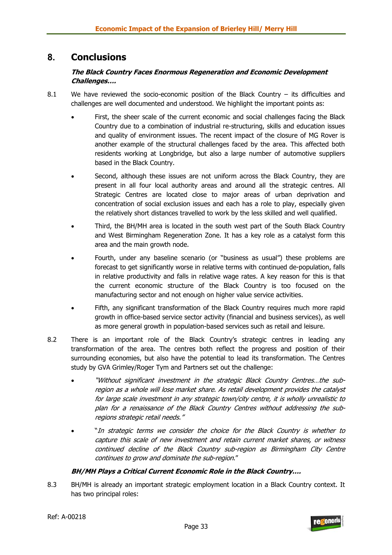# **8. Conclusions**

#### **The Black Country Faces Enormous Regeneration and Economic Development Challenges….**

- 8.1 We have reviewed the socio-economic position of the Black Country its difficulties and challenges are well documented and understood. We highlight the important points as:
	- First, the sheer scale of the current economic and social challenges facing the Black Country due to a combination of industrial re-structuring, skills and education issues and quality of environment issues. The recent impact of the closure of MG Rover is another example of the structural challenges faced by the area. This affected both residents working at Longbridge, but also a large number of automotive suppliers based in the Black Country.
	- Second, although these issues are not uniform across the Black Country, they are present in all four local authority areas and around all the strategic centres. All Strategic Centres are located close to major areas of urban deprivation and concentration of social exclusion issues and each has a role to play, especially given the relatively short distances travelled to work by the less skilled and well qualified.
	- Third, the BH/MH area is located in the south west part of the South Black Country and West Birmingham Regeneration Zone. It has a key role as a catalyst form this area and the main growth node.
	- Fourth, under any baseline scenario (or "business as usual") these problems are forecast to get significantly worse in relative terms with continued de-population, falls in relative productivity and falls in relative wage rates. A key reason for this is that the current economic structure of the Black Country is too focused on the manufacturing sector and not enough on higher value service activities.
	- Fifth, any significant transformation of the Black Country requires much more rapid growth in office-based service sector activity (financial and business services), as well as more general growth in population-based services such as retail and leisure.
- 8.2 There is an important role of the Black Country's strategic centres in leading any transformation of the area. The centres both reflect the progress and position of their surrounding economies, but also have the potential to lead its transformation. The Centres study by GVA Grimley/Roger Tym and Partners set out the challenge:
	- "Without significant investment in the strategic Black Country Centres…the subregion as a whole will lose market share. As retail development provides the catalyst for large scale investment in any strategic town/city centre, it is wholly unrealistic to plan for a renaissance of the Black Country Centres without addressing the subregions strategic retail needs."
	- "In strategic terms we consider the choice for the Black Country is whether to capture this scale of new investment and retain current market shares, or witness continued decline of the Black Country sub-region as Birmingham City Centre continues to grow and dominate the sub-region."

#### **BH/MH Plays a Critical Current Economic Role in the Black Country….**

8.3 BH/MH is already an important strategic employment location in a Black Country context. It has two principal roles:

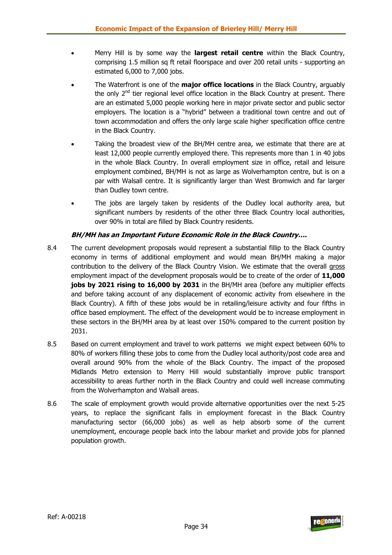- Merry Hill is by some way the **largest retail centre** within the Black Country, comprising 1.5 million sq ft retail floorspace and over 200 retail units - supporting an estimated 6,000 to 7,000 jobs.
- The Waterfront is one of the **major office locations** in the Black Country, arguably the only  $2^{nd}$  tier regional level office location in the Black Country at present. There are an estimated 5,000 people working here in major private sector and public sector employers. The location is a "hybrid" between a traditional town centre and out of town accommodation and offers the only large scale higher specification office centre in the Black Country.
- Taking the broadest view of the BH/MH centre area, we estimate that there are at least 12,000 people currently employed there. This represents more than 1 in 40 jobs in the whole Black Country. In overall employment size in office, retail and leisure employment combined, BH/MH is not as large as Wolverhampton centre, but is on a par with Walsall centre. It is significantly larger than West Bromwich and far larger than Dudley town centre.
- The jobs are largely taken by residents of the Dudley local authority area, but significant numbers by residents of the other three Black Country local authorities, over 90% in total are filled by Black Country residents.

#### **BH/MH has an Important Future Economic Role in the Black Country….**

- 8.4 The current development proposals would represent a substantial fillip to the Black Country economy in terms of additional employment and would mean BH/MH making a major contribution to the delivery of the Black Country Vision. We estimate that the overall gross employment impact of the development proposals would be to create of the order of **11,000 jobs by 2021 rising to 16,000 by 2031** in the BH/MH area (before any multiplier effects and before taking account of any displacement of economic activity from elsewhere in the Black Country). A fifth of these jobs would be in retailing/leisure activity and four fifths in office based employment. The effect of the development would be to increase employment in these sectors in the BH/MH area by at least over 150% compared to the current position by 2031.
- 8.5 Based on current employment and travel to work patterns we might expect between 60% to 80% of workers filling these jobs to come from the Dudley local authority/post code area and overall around 90% from the whole of the Black Country. The impact of the proposed Midlands Metro extension to Merry Hill would substantially improve public transport accessibility to areas further north in the Black Country and could well increase commuting from the Wolverhampton and Walsall areas.
- 8.6 The scale of employment growth would provide alternative opportunities over the next 5-25 years, to replace the significant falls in employment forecast in the Black Country manufacturing sector (66,000 jobs) as well as help absorb some of the current unemployment, encourage people back into the labour market and provide jobs for planned population growth.

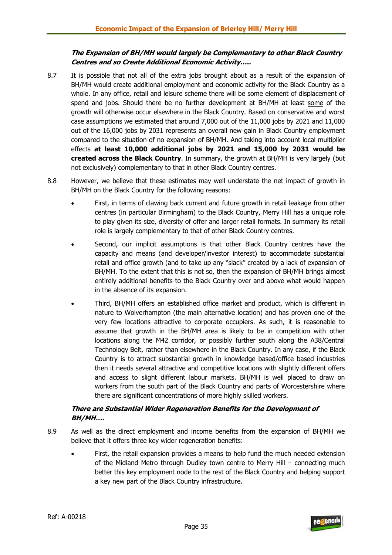#### **The Expansion of BH/MH would largely be Complementary to other Black Country Centres and so Create Additional Economic Activity…..**

- 8.7 It is possible that not all of the extra jobs brought about as a result of the expansion of BH/MH would create additional employment and economic activity for the Black Country as a whole. In any office, retail and leisure scheme there will be some element of displacement of spend and jobs. Should there be no further development at BH/MH at least some of the growth will otherwise occur elsewhere in the Black Country. Based on conservative and worst case assumptions we estimated that around 7,000 out of the 11,000 jobs by 2021 and 11,000 out of the 16,000 jobs by 2031 represents an overall new gain in Black Country employment compared to the situation of no expansion of BH/MH. And taking into account local multiplier effects **at least 10,000 additional jobs by 2021 and 15,000 by 2031 would be created across the Black Country**. In summary, the growth at BH/MH is very largely (but not exclusively) complementary to that in other Black Country centres.
- 8.8 However, we believe that these estimates may well understate the net impact of growth in BH/MH on the Black Country for the following reasons:
	- First, in terms of clawing back current and future growth in retail leakage from other centres (in particular Birmingham) to the Black Country, Merry Hill has a unique role to play given its size, diversity of offer and larger retail formats. In summary its retail role is largely complementary to that of other Black Country centres.
	- Second, our implicit assumptions is that other Black Country centres have the capacity and means (and developer/investor interest) to accommodate substantial retail and office growth (and to take up any "slack" created by a lack of expansion of BH/MH. To the extent that this is not so, then the expansion of BH/MH brings almost entirely additional benefits to the Black Country over and above what would happen in the absence of its expansion.
	- Third, BH/MH offers an established office market and product, which is different in nature to Wolverhampton (the main alternative location) and has proven one of the very few locations attractive to corporate occupiers. As such, it is reasonable to assume that growth in the BH/MH area is likely to be in competition with other locations along the M42 corridor, or possibly further south along the A38/Central Technology Belt, rather than elsewhere in the Black Country. In any case, if the Black Country is to attract substantial growth in knowledge based/office based industries then it needs several attractive and competitive locations with slightly different offers and access to slight different labour markets. BH/MH is well placed to draw on workers from the south part of the Black Country and parts of Worcestershire where there are significant concentrations of more highly skilled workers.

#### **There are Substantial Wider Regeneration Benefits for the Development of BH/MH….**

- 8.9 As well as the direct employment and income benefits from the expansion of BH/MH we believe that it offers three key wider regeneration benefits:
	- First, the retail expansion provides a means to help fund the much needed extension of the Midland Metro through Dudley town centre to Merry Hill – connecting much better this key employment node to the rest of the Black Country and helping support a key new part of the Black Country infrastructure.

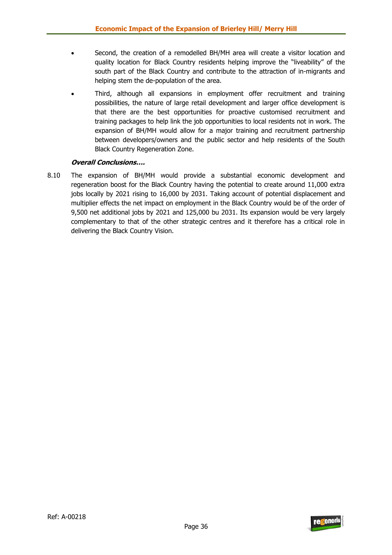- Second, the creation of a remodelled BH/MH area will create a visitor location and quality location for Black Country residents helping improve the "liveability" of the south part of the Black Country and contribute to the attraction of in-migrants and helping stem the de-population of the area.
- Third, although all expansions in employment offer recruitment and training possibilities, the nature of large retail development and larger office development is that there are the best opportunities for proactive customised recruitment and training packages to help link the job opportunities to local residents not in work. The expansion of BH/MH would allow for a major training and recruitment partnership between developers/owners and the public sector and help residents of the South Black Country Regeneration Zone.

#### **Overall Conclusions….**

8.10 The expansion of BH/MH would provide a substantial economic development and regeneration boost for the Black Country having the potential to create around 11,000 extra jobs locally by 2021 rising to 16,000 by 2031. Taking account of potential displacement and multiplier effects the net impact on employment in the Black Country would be of the order of 9,500 net additional jobs by 2021 and 125,000 bu 2031. Its expansion would be very largely complementary to that of the other strategic centres and it therefore has a critical role in delivering the Black Country Vision.

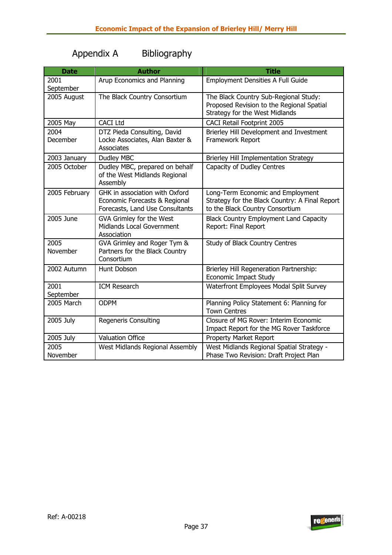# Appendix A Bibliography

| <b>Date</b>       | <b>Author</b>                                                                                      | <b>Title</b>                                                                                                           |
|-------------------|----------------------------------------------------------------------------------------------------|------------------------------------------------------------------------------------------------------------------------|
| 2001<br>September | Arup Economics and Planning                                                                        | <b>Employment Densities A Full Guide</b>                                                                               |
| 2005 August       | The Black Country Consortium                                                                       | The Black Country Sub-Regional Study:<br>Proposed Revision to the Regional Spatial<br>Strategy for the West Midlands   |
| 2005 May          | <b>CACI Ltd</b>                                                                                    | <b>CACI Retail Footprint 2005</b>                                                                                      |
| 2004<br>December  | DTZ Pieda Consulting, David<br>Locke Associates, Alan Baxter &<br>Associates                       | Brierley Hill Development and Investment<br>Framework Report                                                           |
| 2003 January      | Dudley MBC                                                                                         | Brierley Hill Implementation Strategy                                                                                  |
| 2005 October      | Dudley MBC, prepared on behalf<br>of the West Midlands Regional<br>Assembly                        | Capacity of Dudley Centres                                                                                             |
| 2005 February     | GHK in association with Oxford<br>Economic Forecasts & Regional<br>Forecasts, Land Use Consultants | Long-Term Economic and Employment<br>Strategy for the Black Country: A Final Report<br>to the Black Country Consortium |
| 2005 June         | GVA Grimley for the West<br>Midlands Local Government<br>Association                               | Black Country Employment Land Capacity<br>Report: Final Report                                                         |
| 2005<br>November  | GVA Grimley and Roger Tym &<br>Partners for the Black Country<br>Consortium                        | Study of Black Country Centres                                                                                         |
| 2002 Autumn       | Hunt Dobson                                                                                        | Brierley Hill Regeneration Partnership:<br><b>Economic Impact Study</b>                                                |
| 2001<br>September | <b>ICM Research</b>                                                                                | Waterfront Employees Modal Split Survey                                                                                |
| 2005 March        | <b>ODPM</b>                                                                                        | Planning Policy Statement 6: Planning for<br><b>Town Centres</b>                                                       |
| 2005 July         | <b>Regeneris Consulting</b>                                                                        | Closure of MG Rover: Interim Economic<br>Impact Report for the MG Rover Taskforce                                      |
| 2005 July         | <b>Valuation Office</b>                                                                            | Property Market Report                                                                                                 |
| 2005<br>November  | West Midlands Regional Assembly                                                                    | West Midlands Regional Spatial Strategy -<br>Phase Two Revision: Draft Project Plan                                    |